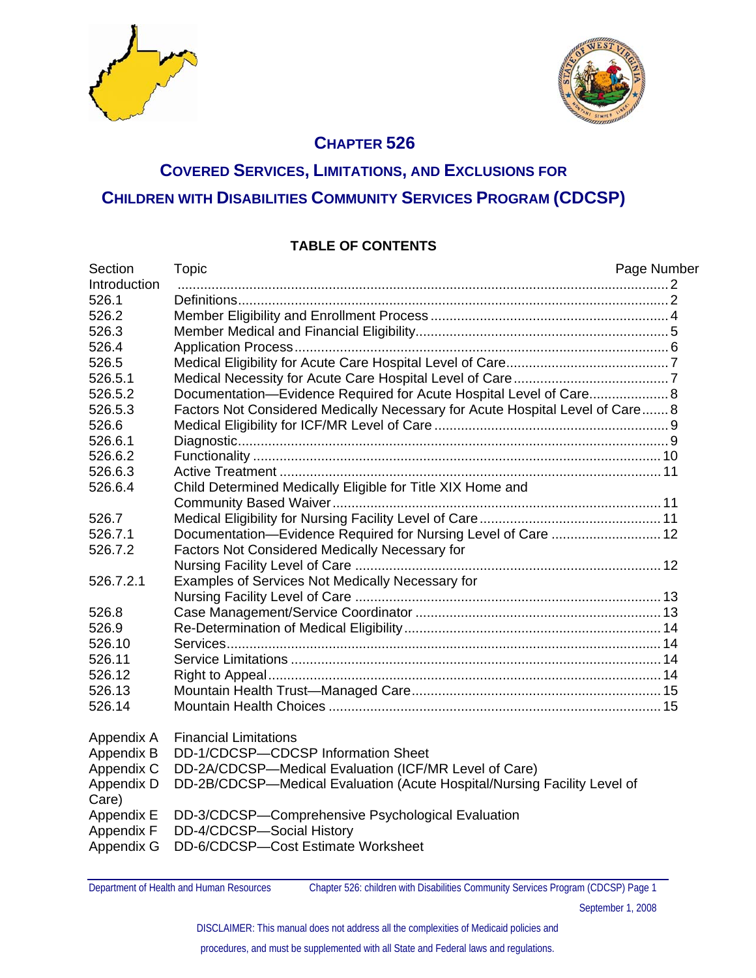



#### **CHAPTER 526**

## **COVERED SERVICES, LIMITATIONS, AND EXCLUSIONS FOR CHILDREN WITH DISABILITIES COMMUNITY SERVICES PROGRAM (CDCSP)**

#### **TABLE OF CONTENTS**

| Section      | <b>Topic</b>                                                                  | Page Number |
|--------------|-------------------------------------------------------------------------------|-------------|
| Introduction |                                                                               |             |
| 526.1        |                                                                               |             |
| 526.2        |                                                                               |             |
| 526.3        |                                                                               |             |
| 526.4        |                                                                               |             |
| 526.5        |                                                                               |             |
| 526.5.1      |                                                                               |             |
| 526.5.2      | Documentation-Evidence Required for Acute Hospital Level of Care 8            |             |
| 526.5.3      | Factors Not Considered Medically Necessary for Acute Hospital Level of Care 8 |             |
| 526.6        |                                                                               |             |
| 526.6.1      |                                                                               |             |
| 526.6.2      |                                                                               |             |
| 526.6.3      |                                                                               |             |
| 526.6.4      | Child Determined Medically Eligible for Title XIX Home and                    |             |
|              |                                                                               |             |
| 526.7        |                                                                               |             |
| 526.7.1      | Documentation-Evidence Required for Nursing Level of Care  12                 |             |
| 526.7.2      | Factors Not Considered Medically Necessary for                                |             |
|              |                                                                               |             |
| 526.7.2.1    | Examples of Services Not Medically Necessary for                              |             |
|              |                                                                               |             |
| 526.8        |                                                                               |             |
| 526.9        |                                                                               |             |
| 526.10       |                                                                               |             |
| 526.11       |                                                                               |             |
| 526.12       |                                                                               |             |
| 526.13       |                                                                               |             |
| 526.14       |                                                                               |             |
| Appendix A   | <b>Financial Limitations</b>                                                  |             |
| Appendix B   | DD-1/CDCSP-CDCSP Information Sheet                                            |             |
| Appendix C   | DD-2A/CDCSP-Medical Evaluation (ICF/MR Level of Care)                         |             |
| Appendix D   | DD-2B/CDCSP-Medical Evaluation (Acute Hospital/Nursing Facility Level of      |             |
| Care)        |                                                                               |             |
| Appendix E   | DD-3/CDCSP-Comprehensive Psychological Evaluation                             |             |
| Appendix F   | DD-4/CDCSP-Social History                                                     |             |
| Appendix G   | DD-6/CDCSP-Cost Estimate Worksheet                                            |             |
|              |                                                                               |             |

Department of Health and Human Resources Chapter 526: children with Disabilities Community Services Program (CDCSP) Page 1

September 1, 2008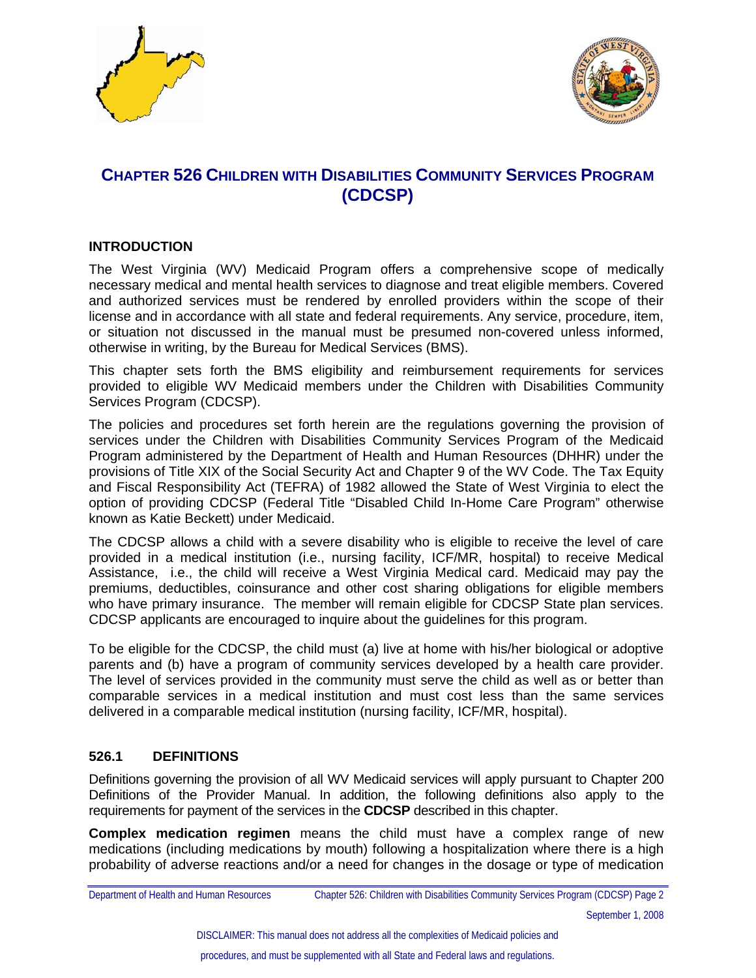



### **CHAPTER 526 CHILDREN WITH DISABILITIES COMMUNITY SERVICES PROGRAM (CDCSP)**

#### **INTRODUCTION**

The West Virginia (WV) Medicaid Program offers a comprehensive scope of medically necessary medical and mental health services to diagnose and treat eligible members. Covered and authorized services must be rendered by enrolled providers within the scope of their license and in accordance with all state and federal requirements. Any service, procedure, item, or situation not discussed in the manual must be presumed non-covered unless informed, otherwise in writing, by the Bureau for Medical Services (BMS).

This chapter sets forth the BMS eligibility and reimbursement requirements for services provided to eligible WV Medicaid members under the Children with Disabilities Community Services Program (CDCSP).

The policies and procedures set forth herein are the regulations governing the provision of services under the Children with Disabilities Community Services Program of the Medicaid Program administered by the Department of Health and Human Resources (DHHR) under the provisions of Title XIX of the Social Security Act and Chapter 9 of the WV Code. The Tax Equity and Fiscal Responsibility Act (TEFRA) of 1982 allowed the State of West Virginia to elect the option of providing CDCSP (Federal Title "Disabled Child In-Home Care Program" otherwise known as Katie Beckett) under Medicaid.

The CDCSP allows a child with a severe disability who is eligible to receive the level of care provided in a medical institution (i.e., nursing facility, ICF/MR, hospital) to receive Medical Assistance, i.e., the child will receive a West Virginia Medical card. Medicaid may pay the premiums, deductibles, coinsurance and other cost sharing obligations for eligible members who have primary insurance. The member will remain eligible for CDCSP State plan services. CDCSP applicants are encouraged to inquire about the guidelines for this program.

To be eligible for the CDCSP, the child must (a) live at home with his/her biological or adoptive parents and (b) have a program of community services developed by a health care provider. The level of services provided in the community must serve the child as well as or better than comparable services in a medical institution and must cost less than the same services delivered in a comparable medical institution (nursing facility, ICF/MR, hospital).

#### **526.1 DEFINITIONS**

Definitions governing the provision of all WV Medicaid services will apply pursuant to Chapter 200 Definitions of the Provider Manual. In addition, the following definitions also apply to the requirements for payment of the services in the **CDCSP** described in this chapter.

**Complex medication regimen** means the child must have a complex range of new medications (including medications by mouth) following a hospitalization where there is a high probability of adverse reactions and/or a need for changes in the dosage or type of medication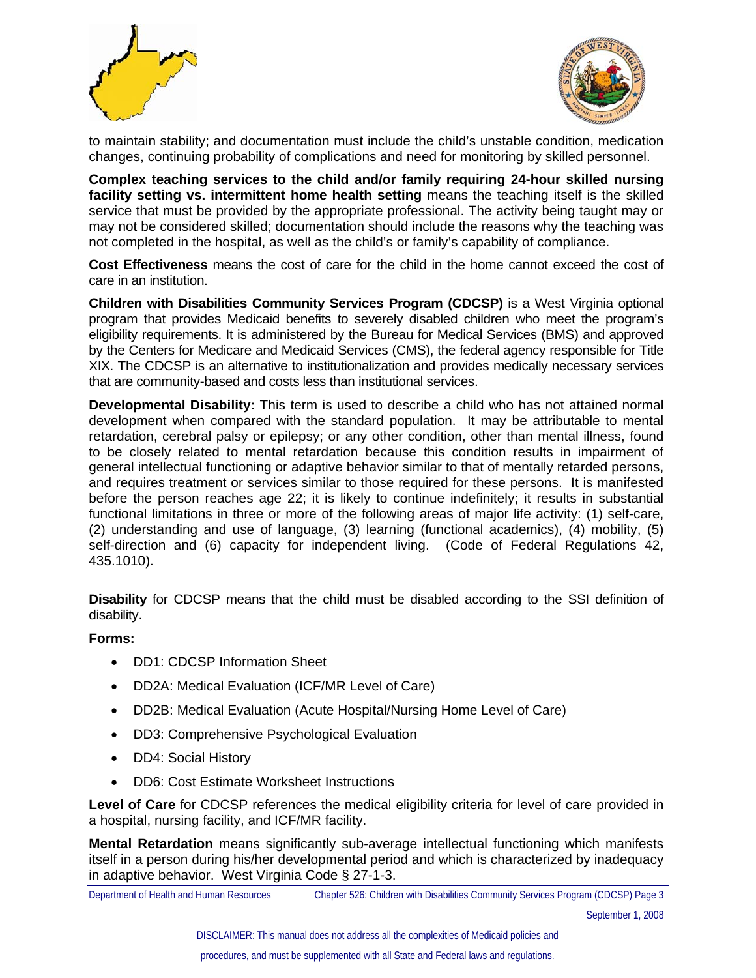



to maintain stability; and documentation must include the child's unstable condition, medication changes, continuing probability of complications and need for monitoring by skilled personnel.

**Complex teaching services to the child and/or family requiring 24-hour skilled nursing facility setting vs. intermittent home health setting** means the teaching itself is the skilled service that must be provided by the appropriate professional. The activity being taught may or may not be considered skilled; documentation should include the reasons why the teaching was not completed in the hospital, as well as the child's or family's capability of compliance.

**Cost Effectiveness** means the cost of care for the child in the home cannot exceed the cost of care in an institution.

**Children with Disabilities Community Services Program (CDCSP)** is a West Virginia optional program that provides Medicaid benefits to severely disabled children who meet the program's eligibility requirements. It is administered by the Bureau for Medical Services (BMS) and approved by the Centers for Medicare and Medicaid Services (CMS), the federal agency responsible for Title XIX. The CDCSP is an alternative to institutionalization and provides medically necessary services that are community-based and costs less than institutional services.

**Developmental Disability:** This term is used to describe a child who has not attained normal development when compared with the standard population. It may be attributable to mental retardation, cerebral palsy or epilepsy; or any other condition, other than mental illness, found to be closely related to mental retardation because this condition results in impairment of general intellectual functioning or adaptive behavior similar to that of mentally retarded persons, and requires treatment or services similar to those required for these persons. It is manifested before the person reaches age 22; it is likely to continue indefinitely; it results in substantial functional limitations in three or more of the following areas of major life activity: (1) self-care, (2) understanding and use of language, (3) learning (functional academics), (4) mobility, (5) self-direction and (6) capacity for independent living. (Code of Federal Regulations 42, 435.1010).

**Disability** for CDCSP means that the child must be disabled according to the SSI definition of disability.

#### **Forms:**

- DD1: CDCSP Information Sheet
- DD2A: Medical Evaluation (ICF/MR Level of Care)
- DD2B: Medical Evaluation (Acute Hospital/Nursing Home Level of Care)
- DD3: Comprehensive Psychological Evaluation
- DD4: Social History
- DD6: Cost Estimate Worksheet Instructions

**Level of Care** for CDCSP references the medical eligibility criteria for level of care provided in a hospital, nursing facility, and ICF/MR facility.

**Mental Retardation** means significantly sub-average intellectual functioning which manifests itself in a person during his/her developmental period and which is characterized by inadequacy in adaptive behavior. West Virginia Code § 27-1-3.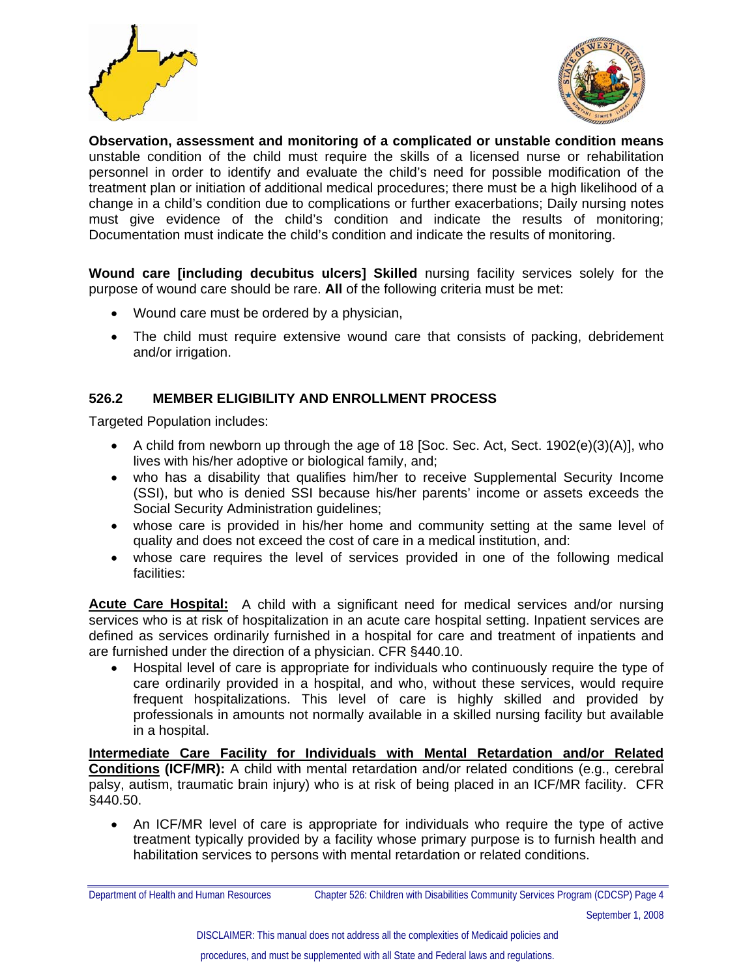



**Observation, assessment and monitoring of a complicated or unstable condition means** unstable condition of the child must require the skills of a licensed nurse or rehabilitation personnel in order to identify and evaluate the child's need for possible modification of the treatment plan or initiation of additional medical procedures; there must be a high likelihood of a change in a child's condition due to complications or further exacerbations; Daily nursing notes must give evidence of the child's condition and indicate the results of monitoring; Documentation must indicate the child's condition and indicate the results of monitoring.

**Wound care [including decubitus ulcers] Skilled** nursing facility services solely for the purpose of wound care should be rare. **All** of the following criteria must be met:

- Wound care must be ordered by a physician,
- The child must require extensive wound care that consists of packing, debridement and/or irrigation.

#### **526.2 MEMBER ELIGIBILITY AND ENROLLMENT PROCESS**

Targeted Population includes:

- A child from newborn up through the age of 18 [Soc. Sec. Act, Sect. 1902(e)(3)(A)], who lives with his/her adoptive or biological family, and;
- who has a disability that qualifies him/her to receive Supplemental Security Income (SSI), but who is denied SSI because his/her parents' income or assets exceeds the Social Security Administration guidelines;
- whose care is provided in his/her home and community setting at the same level of quality and does not exceed the cost of care in a medical institution, and:
- whose care requires the level of services provided in one of the following medical facilities:

**Acute Care Hospital:** A child with a significant need for medical services and/or nursing services who is at risk of hospitalization in an acute care hospital setting. Inpatient services are defined as services ordinarily furnished in a hospital for care and treatment of inpatients and are furnished under the direction of a physician. CFR §440.10.

• Hospital level of care is appropriate for individuals who continuously require the type of care ordinarily provided in a hospital, and who, without these services, would require frequent hospitalizations. This level of care is highly skilled and provided by professionals in amounts not normally available in a skilled nursing facility but available in a hospital.

**Intermediate Care Facility for Individuals with Mental Retardation and/or Related Conditions (ICF/MR):** A child with mental retardation and/or related conditions (e.g., cerebral palsy, autism, traumatic brain injury) who is at risk of being placed in an ICF/MR facility. CFR §440.50.

• An ICF/MR level of care is appropriate for individuals who require the type of active treatment typically provided by a facility whose primary purpose is to furnish health and habilitation services to persons with mental retardation or related conditions.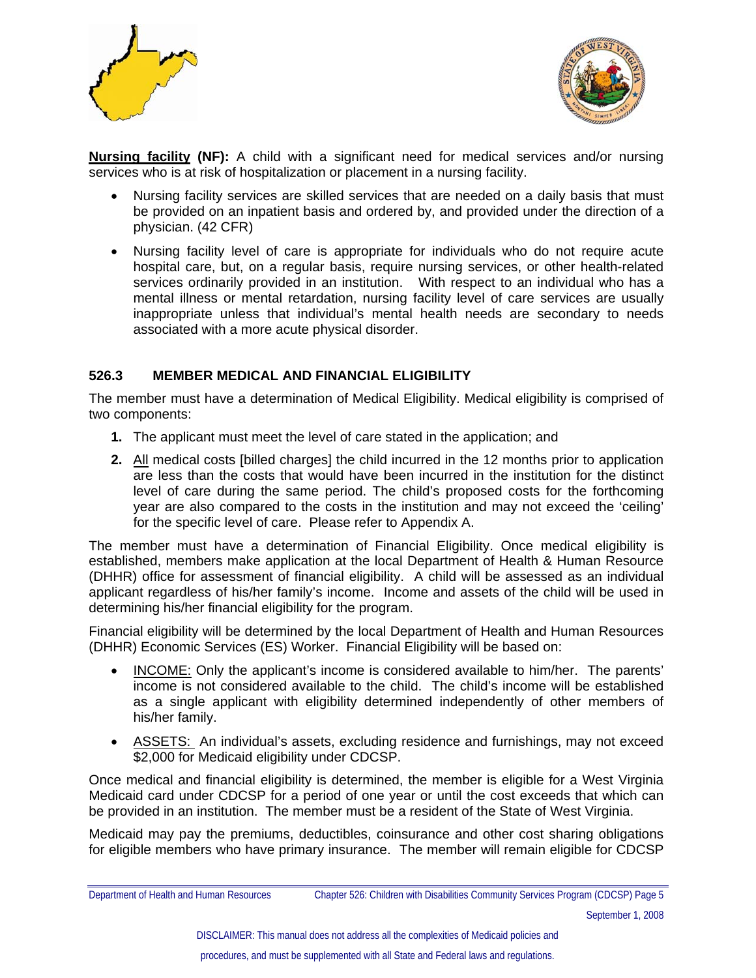



**Nursing facility (NF):** A child with a significant need for medical services and/or nursing services who is at risk of hospitalization or placement in a nursing facility.

- Nursing facility services are skilled services that are needed on a daily basis that must be provided on an inpatient basis and ordered by, and provided under the direction of a physician. (42 CFR)
- Nursing facility level of care is appropriate for individuals who do not require acute hospital care, but, on a regular basis, require nursing services, or other health-related services ordinarily provided in an institution. With respect to an individual who has a mental illness or mental retardation, nursing facility level of care services are usually inappropriate unless that individual's mental health needs are secondary to needs associated with a more acute physical disorder.

#### **526.3 MEMBER MEDICAL AND FINANCIAL ELIGIBILITY**

The member must have a determination of Medical Eligibility. Medical eligibility is comprised of two components:

- **1.** The applicant must meet the level of care stated in the application; and
- **2.** All medical costs [billed charges] the child incurred in the 12 months prior to application are less than the costs that would have been incurred in the institution for the distinct level of care during the same period. The child's proposed costs for the forthcoming year are also compared to the costs in the institution and may not exceed the 'ceiling' for the specific level of care. Please refer to Appendix A.

The member must have a determination of Financial Eligibility. Once medical eligibility is established, members make application at the local Department of Health & Human Resource (DHHR) office for assessment of financial eligibility. A child will be assessed as an individual applicant regardless of his/her family's income. Income and assets of the child will be used in determining his/her financial eligibility for the program.

Financial eligibility will be determined by the local Department of Health and Human Resources (DHHR) Economic Services (ES) Worker. Financial Eligibility will be based on:

- INCOME: Only the applicant's income is considered available to him/her. The parents' income is not considered available to the child. The child's income will be established as a single applicant with eligibility determined independently of other members of his/her family.
- ASSETS: An individual's assets, excluding residence and furnishings, may not exceed \$2,000 for Medicaid eligibility under CDCSP.

Once medical and financial eligibility is determined, the member is eligible for a West Virginia Medicaid card under CDCSP for a period of one year or until the cost exceeds that which can be provided in an institution. The member must be a resident of the State of West Virginia.

Medicaid may pay the premiums, deductibles, coinsurance and other cost sharing obligations for eligible members who have primary insurance. The member will remain eligible for CDCSP

Department of Health and Human Resources Chapter 526: Children with Disabilities Community Services Program (CDCSP) Page 5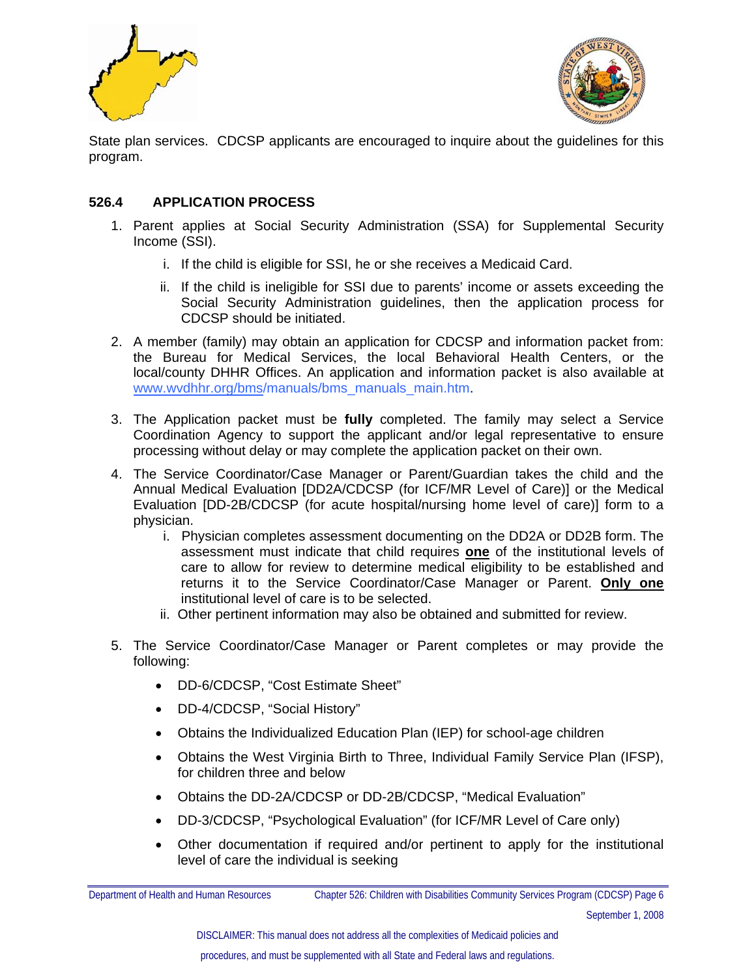



State plan services. CDCSP applicants are encouraged to inquire about the guidelines for this program.

#### **526.4 APPLICATION PROCESS**

- 1. Parent applies at Social Security Administration (SSA) for Supplemental Security Income (SSI).
	- i. If the child is eligible for SSI, he or she receives a Medicaid Card.
	- ii. If the child is ineligible for SSI due to parents' income or assets exceeding the Social Security Administration guidelines, then the application process for CDCSP should be initiated.
- 2. A member (family) may obtain an application for CDCSP and information packet from: the Bureau for Medical Services, the local Behavioral Health Centers, or the local/county DHHR Offices. An application and information packet is also available at www.wvdhhr.org/bms/manuals/bms\_manuals\_main.htm.
- 3. The Application packet must be **fully** completed. The family may select a Service Coordination Agency to support the applicant and/or legal representative to ensure processing without delay or may complete the application packet on their own.
- 4. The Service Coordinator/Case Manager or Parent/Guardian takes the child and the Annual Medical Evaluation [DD2A/CDCSP (for ICF/MR Level of Care)] or the Medical Evaluation [DD-2B/CDCSP (for acute hospital/nursing home level of care)] form to a physician.
	- i. Physician completes assessment documenting on the DD2A or DD2B form. The assessment must indicate that child requires **one** of the institutional levels of care to allow for review to determine medical eligibility to be established and returns it to the Service Coordinator/Case Manager or Parent. **Only one** institutional level of care is to be selected.
	- ii. Other pertinent information may also be obtained and submitted for review.
- 5. The Service Coordinator/Case Manager or Parent completes or may provide the following:
	- DD-6/CDCSP, "Cost Estimate Sheet"
	- DD-4/CDCSP, "Social History"
	- Obtains the Individualized Education Plan (IEP) for school-age children
	- Obtains the West Virginia Birth to Three, Individual Family Service Plan (IFSP), for children three and below
	- Obtains the DD-2A/CDCSP or DD-2B/CDCSP, "Medical Evaluation"
	- DD-3/CDCSP, "Psychological Evaluation" (for ICF/MR Level of Care only)
	- Other documentation if required and/or pertinent to apply for the institutional level of care the individual is seeking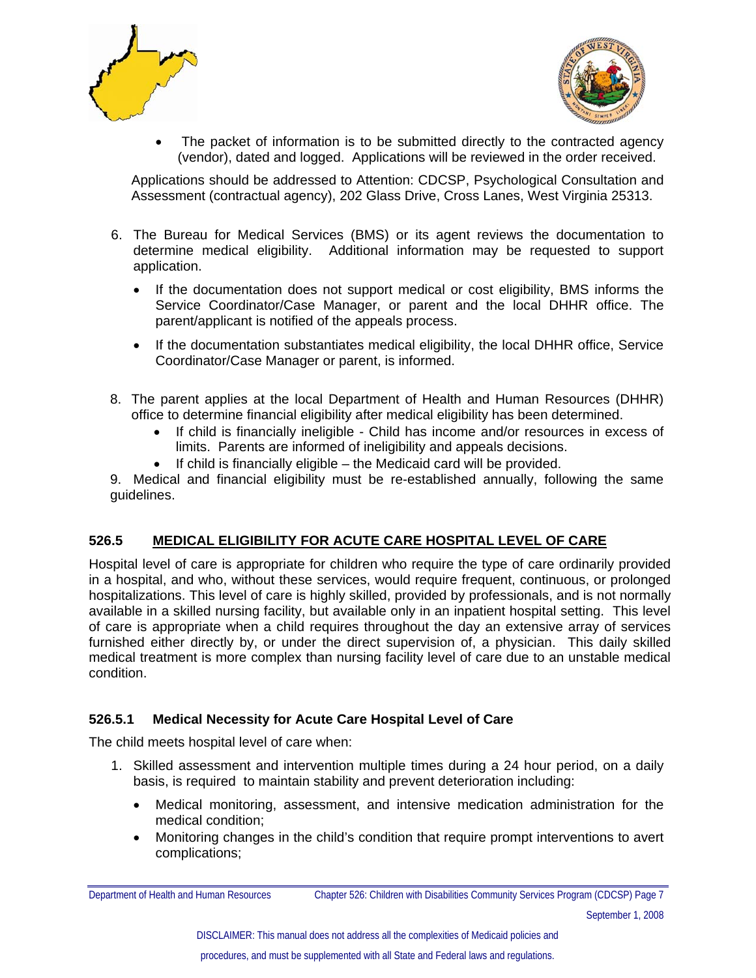



• The packet of information is to be submitted directly to the contracted agency (vendor), dated and logged. Applications will be reviewed in the order received.

Applications should be addressed to Attention: CDCSP, Psychological Consultation and Assessment (contractual agency), 202 Glass Drive, Cross Lanes, West Virginia 25313.

- 6. The Bureau for Medical Services (BMS) or its agent reviews the documentation to determine medical eligibility. Additional information may be requested to support application.
	- If the documentation does not support medical or cost eligibility, BMS informs the Service Coordinator/Case Manager, or parent and the local DHHR office. The parent/applicant is notified of the appeals process.
	- If the documentation substantiates medical eligibility, the local DHHR office, Service Coordinator/Case Manager or parent, is informed.
- 8. The parent applies at the local Department of Health and Human Resources (DHHR) office to determine financial eligibility after medical eligibility has been determined.
	- If child is financially ineligible Child has income and/or resources in excess of limits. Parents are informed of ineligibility and appeals decisions.
	- If child is financially eligible the Medicaid card will be provided.
- 9. Medical and financial eligibility must be re-established annually, following the same guidelines.

#### **526.5 MEDICAL ELIGIBILITY FOR ACUTE CARE HOSPITAL LEVEL OF CARE**

Hospital level of care is appropriate for children who require the type of care ordinarily provided in a hospital, and who, without these services, would require frequent, continuous, or prolonged hospitalizations. This level of care is highly skilled, provided by professionals, and is not normally available in a skilled nursing facility, but available only in an inpatient hospital setting. This level of care is appropriate when a child requires throughout the day an extensive array of services furnished either directly by, or under the direct supervision of, a physician. This daily skilled medical treatment is more complex than nursing facility level of care due to an unstable medical condition.

#### **526.5.1 Medical Necessity for Acute Care Hospital Level of Care**

The child meets hospital level of care when:

- 1. Skilled assessment and intervention multiple times during a 24 hour period, on a daily basis, is required to maintain stability and prevent deterioration including:
	- Medical monitoring, assessment, and intensive medication administration for the medical condition;
	- Monitoring changes in the child's condition that require prompt interventions to avert complications;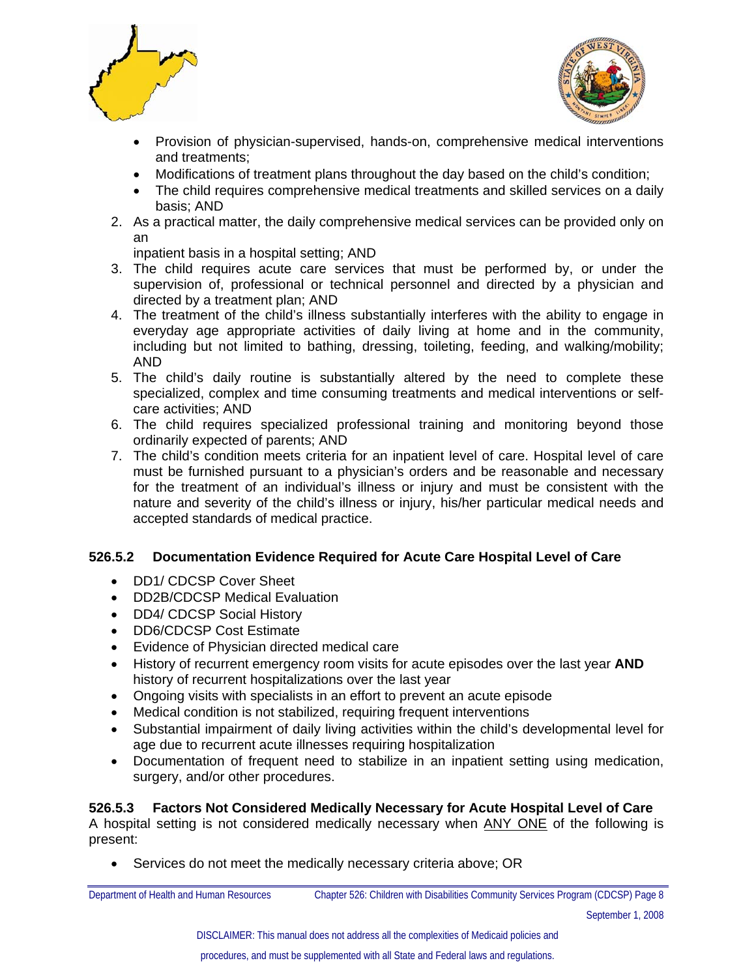



- Provision of physician-supervised, hands-on, comprehensive medical interventions and treatments;
- Modifications of treatment plans throughout the day based on the child's condition;
- The child requires comprehensive medical treatments and skilled services on a daily basis; AND
- 2. As a practical matter, the daily comprehensive medical services can be provided only on an

inpatient basis in a hospital setting; AND

- 3. The child requires acute care services that must be performed by, or under the supervision of, professional or technical personnel and directed by a physician and directed by a treatment plan; AND
- 4. The treatment of the child's illness substantially interferes with the ability to engage in everyday age appropriate activities of daily living at home and in the community, including but not limited to bathing, dressing, toileting, feeding, and walking/mobility; AND
- 5. The child's daily routine is substantially altered by the need to complete these specialized, complex and time consuming treatments and medical interventions or selfcare activities; AND
- 6. The child requires specialized professional training and monitoring beyond those ordinarily expected of parents; AND
- 7. The child's condition meets criteria for an inpatient level of care. Hospital level of care must be furnished pursuant to a physician's orders and be reasonable and necessary for the treatment of an individual's illness or injury and must be consistent with the nature and severity of the child's illness or injury, his/her particular medical needs and accepted standards of medical practice.

#### **526.5.2 Documentation Evidence Required for Acute Care Hospital Level of Care**

- DD1/ CDCSP Cover Sheet
- DD2B/CDCSP Medical Evaluation
- DD4/ CDCSP Social History
- DD6/CDCSP Cost Estimate
- Evidence of Physician directed medical care
- History of recurrent emergency room visits for acute episodes over the last year **AND** history of recurrent hospitalizations over the last year
- Ongoing visits with specialists in an effort to prevent an acute episode
- Medical condition is not stabilized, requiring frequent interventions
- Substantial impairment of daily living activities within the child's developmental level for age due to recurrent acute illnesses requiring hospitalization
- Documentation of frequent need to stabilize in an inpatient setting using medication, surgery, and/or other procedures.

#### **526.5.3 Factors Not Considered Medically Necessary for Acute Hospital Level of Care**  A hospital setting is not considered medically necessary when ANY ONE of the following is present:

• Services do not meet the medically necessary criteria above; OR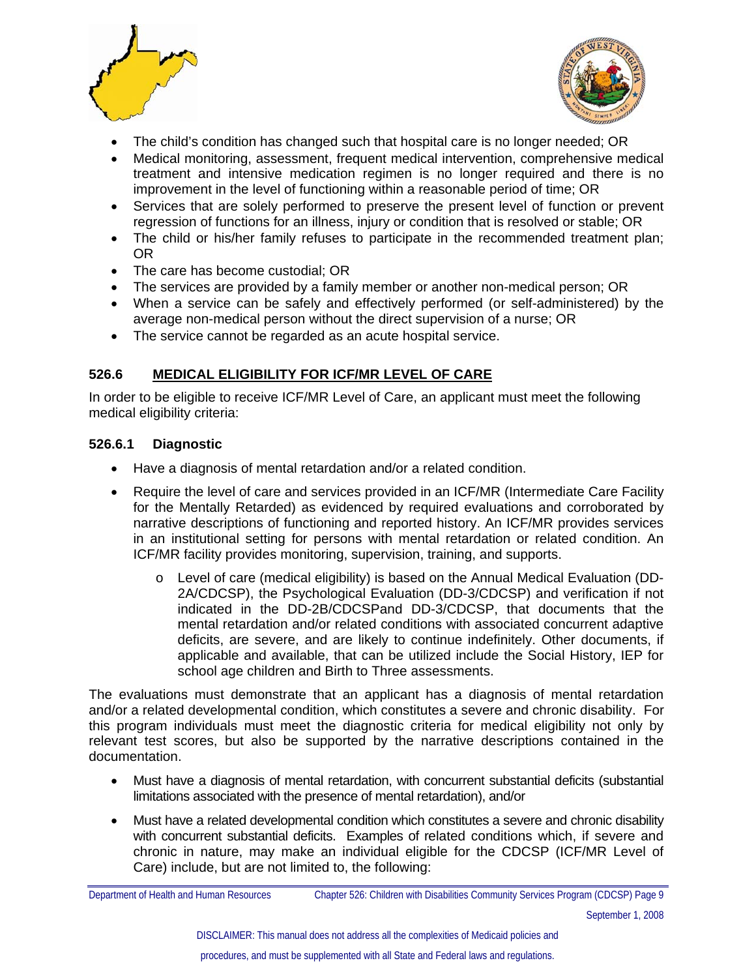



- The child's condition has changed such that hospital care is no longer needed; OR
- Medical monitoring, assessment, frequent medical intervention, comprehensive medical treatment and intensive medication regimen is no longer required and there is no improvement in the level of functioning within a reasonable period of time; OR
- Services that are solely performed to preserve the present level of function or prevent regression of functions for an illness, injury or condition that is resolved or stable; OR
- The child or his/her family refuses to participate in the recommended treatment plan; OR
- The care has become custodial; OR
- The services are provided by a family member or another non-medical person; OR
- When a service can be safely and effectively performed (or self-administered) by the average non-medical person without the direct supervision of a nurse; OR
- The service cannot be regarded as an acute hospital service.

#### **526.6 MEDICAL ELIGIBILITY FOR ICF/MR LEVEL OF CARE**

In order to be eligible to receive ICF/MR Level of Care, an applicant must meet the following medical eligibility criteria:

#### **526.6.1 Diagnostic**

- Have a diagnosis of mental retardation and/or a related condition.
- Require the level of care and services provided in an ICF/MR (Intermediate Care Facility for the Mentally Retarded) as evidenced by required evaluations and corroborated by narrative descriptions of functioning and reported history. An ICF/MR provides services in an institutional setting for persons with mental retardation or related condition. An ICF/MR facility provides monitoring, supervision, training, and supports.
	- o Level of care (medical eligibility) is based on the Annual Medical Evaluation (DD-2A/CDCSP), the Psychological Evaluation (DD-3/CDCSP) and verification if not indicated in the DD-2B/CDCSPand DD-3/CDCSP, that documents that the mental retardation and/or related conditions with associated concurrent adaptive deficits, are severe, and are likely to continue indefinitely. Other documents, if applicable and available, that can be utilized include the Social History, IEP for school age children and Birth to Three assessments.

The evaluations must demonstrate that an applicant has a diagnosis of mental retardation and/or a related developmental condition, which constitutes a severe and chronic disability. For this program individuals must meet the diagnostic criteria for medical eligibility not only by relevant test scores, but also be supported by the narrative descriptions contained in the documentation.

- Must have a diagnosis of mental retardation, with concurrent substantial deficits (substantial limitations associated with the presence of mental retardation), and/or
- Must have a related developmental condition which constitutes a severe and chronic disability with concurrent substantial deficits. Examples of related conditions which, if severe and chronic in nature, may make an individual eligible for the CDCSP (ICF/MR Level of Care) include, but are not limited to, the following: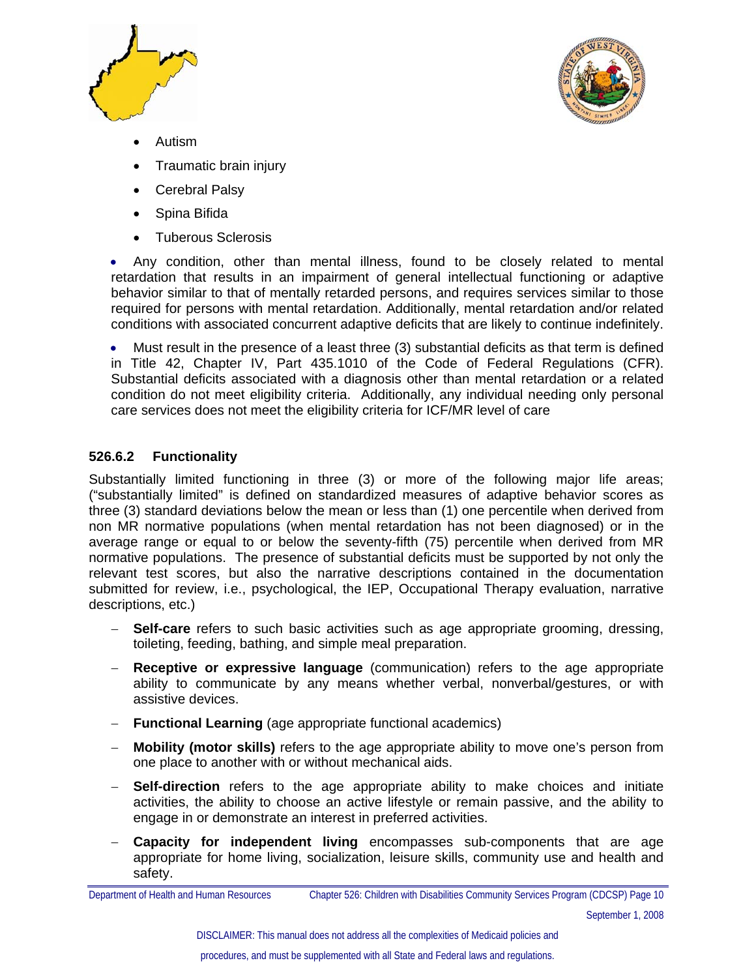



- Autism
- Traumatic brain injury
- Cerebral Palsy
- Spina Bifida
- Tuberous Sclerosis

• Any condition, other than mental illness, found to be closely related to mental retardation that results in an impairment of general intellectual functioning or adaptive behavior similar to that of mentally retarded persons, and requires services similar to those required for persons with mental retardation. Additionally, mental retardation and/or related conditions with associated concurrent adaptive deficits that are likely to continue indefinitely.

• Must result in the presence of a least three (3) substantial deficits as that term is defined in Title 42, Chapter IV, Part 435.1010 of the Code of Federal Regulations (CFR). Substantial deficits associated with a diagnosis other than mental retardation or a related condition do not meet eligibility criteria. Additionally, any individual needing only personal care services does not meet the eligibility criteria for ICF/MR level of care

#### **526.6.2 Functionality**

Substantially limited functioning in three (3) or more of the following major life areas; ("substantially limited" is defined on standardized measures of adaptive behavior scores as three (3) standard deviations below the mean or less than (1) one percentile when derived from non MR normative populations (when mental retardation has not been diagnosed) or in the average range or equal to or below the seventy-fifth (75) percentile when derived from MR normative populations. The presence of substantial deficits must be supported by not only the relevant test scores, but also the narrative descriptions contained in the documentation submitted for review, i.e., psychological, the IEP, Occupational Therapy evaluation, narrative descriptions, etc.)

- − **Self-care** refers to such basic activities such as age appropriate grooming, dressing, toileting, feeding, bathing, and simple meal preparation.
- − **Receptive or expressive language** (communication) refers to the age appropriate ability to communicate by any means whether verbal, nonverbal/gestures, or with assistive devices.
- − **Functional Learning** (age appropriate functional academics)
- − **Mobility (motor skills)** refers to the age appropriate ability to move one's person from one place to another with or without mechanical aids.
- − **Self-direction** refers to the age appropriate ability to make choices and initiate activities, the ability to choose an active lifestyle or remain passive, and the ability to engage in or demonstrate an interest in preferred activities.
- − **Capacity for independent living** encompasses sub-components that are age appropriate for home living, socialization, leisure skills, community use and health and safety.

Department of Health and Human Resources Chapter 526: Children with Disabilities Community Services Program (CDCSP) Page 10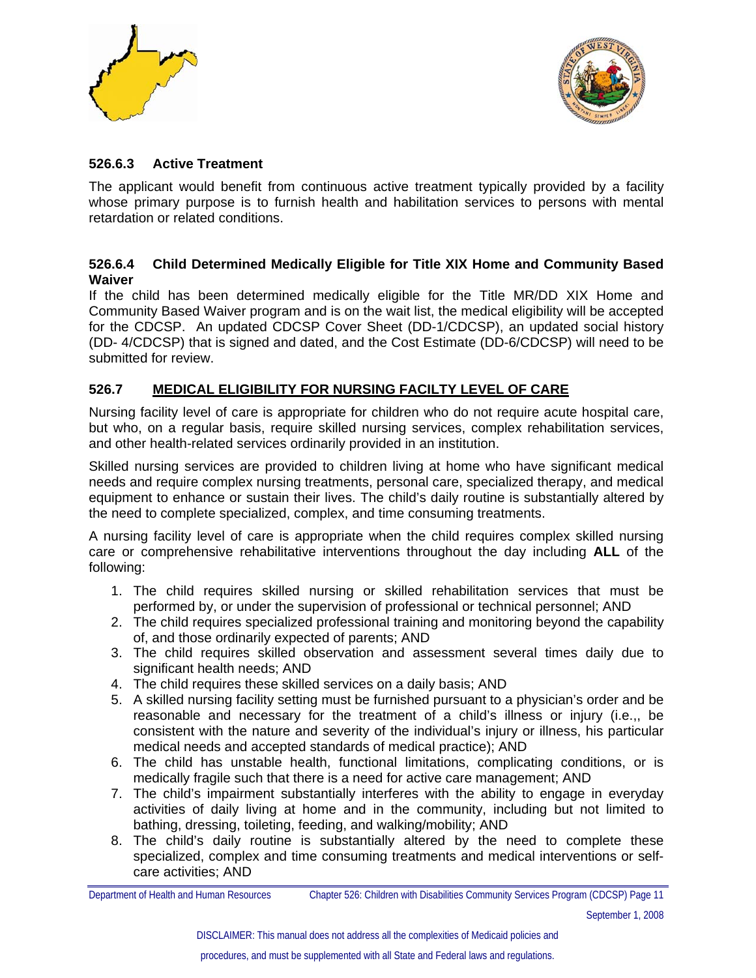



#### **526.6.3 Active Treatment**

The applicant would benefit from continuous active treatment typically provided by a facility whose primary purpose is to furnish health and habilitation services to persons with mental retardation or related conditions.

#### **526.6.4 Child Determined Medically Eligible for Title XIX Home and Community Based Waiver**

If the child has been determined medically eligible for the Title MR/DD XIX Home and Community Based Waiver program and is on the wait list, the medical eligibility will be accepted for the CDCSP. An updated CDCSP Cover Sheet (DD-1/CDCSP), an updated social history (DD- 4/CDCSP) that is signed and dated, and the Cost Estimate (DD-6/CDCSP) will need to be submitted for review.

#### **526.7 MEDICAL ELIGIBILITY FOR NURSING FACILTY LEVEL OF CARE**

Nursing facility level of care is appropriate for children who do not require acute hospital care, but who, on a regular basis, require skilled nursing services, complex rehabilitation services, and other health-related services ordinarily provided in an institution.

Skilled nursing services are provided to children living at home who have significant medical needs and require complex nursing treatments, personal care, specialized therapy, and medical equipment to enhance or sustain their lives. The child's daily routine is substantially altered by the need to complete specialized, complex, and time consuming treatments.

A nursing facility level of care is appropriate when the child requires complex skilled nursing care or comprehensive rehabilitative interventions throughout the day including **ALL** of the following:

- 1. The child requires skilled nursing or skilled rehabilitation services that must be performed by, or under the supervision of professional or technical personnel; AND
- 2. The child requires specialized professional training and monitoring beyond the capability of, and those ordinarily expected of parents; AND
- 3. The child requires skilled observation and assessment several times daily due to significant health needs: AND
- 4. The child requires these skilled services on a daily basis; AND
- 5. A skilled nursing facility setting must be furnished pursuant to a physician's order and be reasonable and necessary for the treatment of a child's illness or injury (i.e.,, be consistent with the nature and severity of the individual's injury or illness, his particular medical needs and accepted standards of medical practice); AND
- 6. The child has unstable health, functional limitations, complicating conditions, or is medically fragile such that there is a need for active care management; AND
- 7. The child's impairment substantially interferes with the ability to engage in everyday activities of daily living at home and in the community, including but not limited to bathing, dressing, toileting, feeding, and walking/mobility; AND
- 8. The child's daily routine is substantially altered by the need to complete these specialized, complex and time consuming treatments and medical interventions or selfcare activities; AND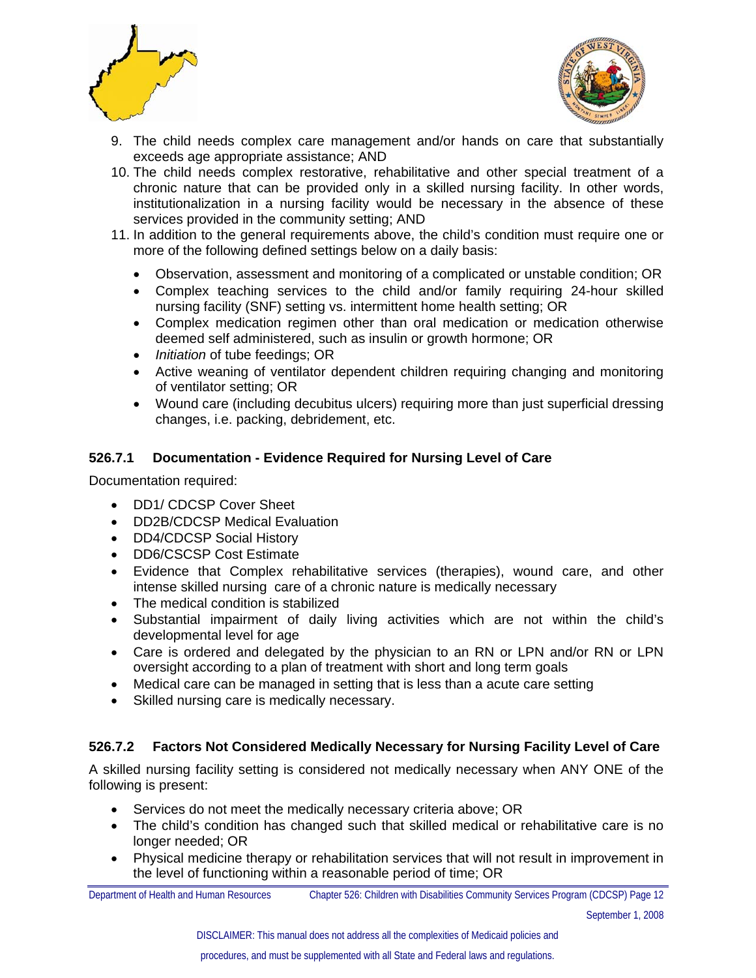



- 9. The child needs complex care management and/or hands on care that substantially exceeds age appropriate assistance; AND
- 10. The child needs complex restorative, rehabilitative and other special treatment of a chronic nature that can be provided only in a skilled nursing facility. In other words, institutionalization in a nursing facility would be necessary in the absence of these services provided in the community setting; AND
- 11. In addition to the general requirements above, the child's condition must require one or more of the following defined settings below on a daily basis:
	- Observation, assessment and monitoring of a complicated or unstable condition; OR
	- Complex teaching services to the child and/or family requiring 24-hour skilled nursing facility (SNF) setting vs. intermittent home health setting; OR
	- Complex medication regimen other than oral medication or medication otherwise deemed self administered, such as insulin or growth hormone; OR
	- *Initiation* of tube feedings; OR
	- Active weaning of ventilator dependent children requiring changing and monitoring of ventilator setting; OR
	- Wound care (including decubitus ulcers) requiring more than just superficial dressing changes, i.e. packing, debridement, etc.

#### **526.7.1 Documentation - Evidence Required for Nursing Level of Care**

Documentation required:

- DD1/ CDCSP Cover Sheet
- DD2B/CDCSP Medical Evaluation
- DD4/CDCSP Social History
- DD6/CSCSP Cost Estimate
- Evidence that Complex rehabilitative services (therapies), wound care, and other intense skilled nursing care of a chronic nature is medically necessary
- The medical condition is stabilized
- Substantial impairment of daily living activities which are not within the child's developmental level for age
- Care is ordered and delegated by the physician to an RN or LPN and/or RN or LPN oversight according to a plan of treatment with short and long term goals
- Medical care can be managed in setting that is less than a acute care setting
- Skilled nursing care is medically necessary.

#### **526.7.2 Factors Not Considered Medically Necessary for Nursing Facility Level of Care**

A skilled nursing facility setting is considered not medically necessary when ANY ONE of the following is present:

- Services do not meet the medically necessary criteria above; OR
- The child's condition has changed such that skilled medical or rehabilitative care is no longer needed; OR
- Physical medicine therapy or rehabilitation services that will not result in improvement in the level of functioning within a reasonable period of time; OR

Department of Health and Human Resources Chapter 526: Children with Disabilities Community Services Program (CDCSP) Page 12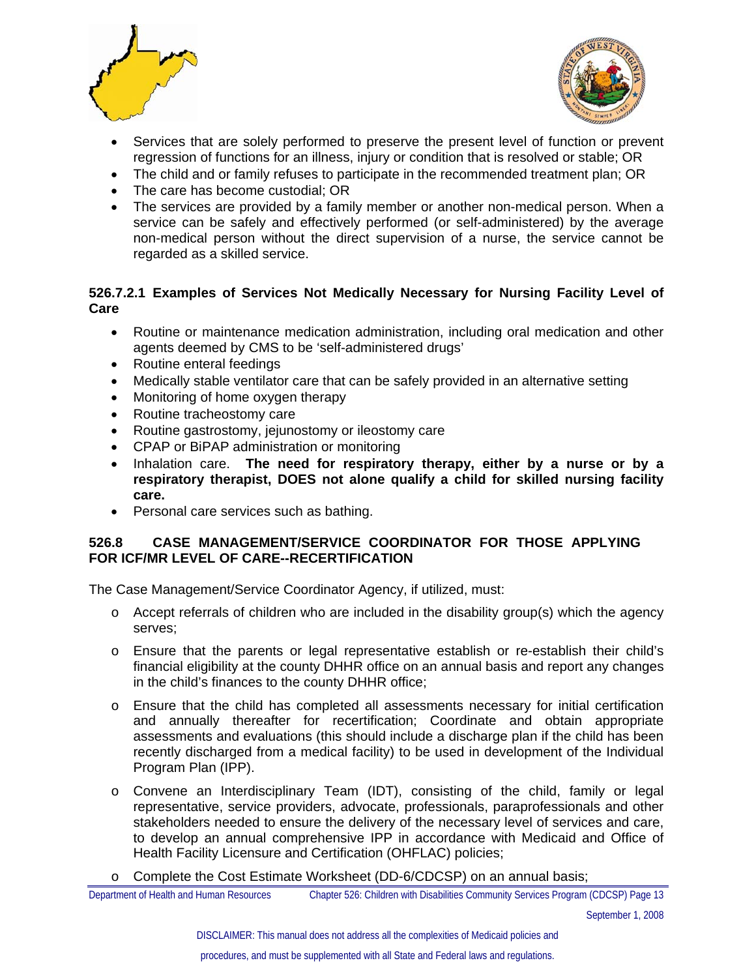



- Services that are solely performed to preserve the present level of function or prevent regression of functions for an illness, injury or condition that is resolved or stable; OR
- The child and or family refuses to participate in the recommended treatment plan; OR
- The care has become custodial; OR
- The services are provided by a family member or another non-medical person. When a service can be safely and effectively performed (or self-administered) by the average non-medical person without the direct supervision of a nurse, the service cannot be regarded as a skilled service.

#### **526.7.2.1 Examples of Services Not Medically Necessary for Nursing Facility Level of Care**

- Routine or maintenance medication administration, including oral medication and other agents deemed by CMS to be 'self-administered drugs'
- Routine enteral feedings
- Medically stable ventilator care that can be safely provided in an alternative setting
- Monitoring of home oxygen therapy
- Routine tracheostomy care
- Routine gastrostomy, jejunostomy or ileostomy care
- CPAP or BiPAP administration or monitoring
- Inhalation care. **The need for respiratory therapy, either by a nurse or by a respiratory therapist, DOES not alone qualify a child for skilled nursing facility care.**
- Personal care services such as bathing.

#### **526.8 CASE MANAGEMENT/SERVICE COORDINATOR FOR THOSE APPLYING FOR ICF/MR LEVEL OF CARE--RECERTIFICATION**

The Case Management/Service Coordinator Agency, if utilized, must:

- $\circ$  Accept referrals of children who are included in the disability group(s) which the agency serves;
- o Ensure that the parents or legal representative establish or re-establish their child's financial eligibility at the county DHHR office on an annual basis and report any changes in the child's finances to the county DHHR office;
- o Ensure that the child has completed all assessments necessary for initial certification and annually thereafter for recertification; Coordinate and obtain appropriate assessments and evaluations (this should include a discharge plan if the child has been recently discharged from a medical facility) to be used in development of the Individual Program Plan (IPP).
- o Convene an Interdisciplinary Team (IDT), consisting of the child, family or legal representative, service providers, advocate, professionals, paraprofessionals and other stakeholders needed to ensure the delivery of the necessary level of services and care, to develop an annual comprehensive IPP in accordance with Medicaid and Office of Health Facility Licensure and Certification (OHFLAC) policies;
- o Complete the Cost Estimate Worksheet (DD-6/CDCSP) on an annual basis;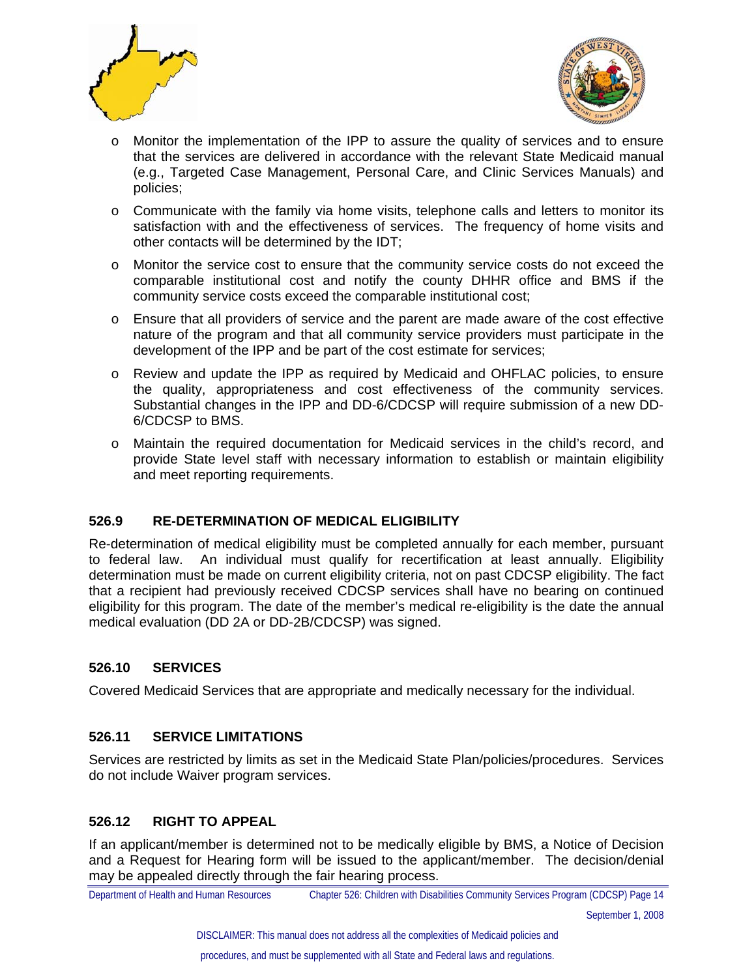



- o Monitor the implementation of the IPP to assure the quality of services and to ensure that the services are delivered in accordance with the relevant State Medicaid manual (e.g., Targeted Case Management, Personal Care, and Clinic Services Manuals) and policies;
- $\circ$  Communicate with the family via home visits, telephone calls and letters to monitor its satisfaction with and the effectiveness of services. The frequency of home visits and other contacts will be determined by the IDT;
- o Monitor the service cost to ensure that the community service costs do not exceed the comparable institutional cost and notify the county DHHR office and BMS if the community service costs exceed the comparable institutional cost;
- o Ensure that all providers of service and the parent are made aware of the cost effective nature of the program and that all community service providers must participate in the development of the IPP and be part of the cost estimate for services;
- o Review and update the IPP as required by Medicaid and OHFLAC policies, to ensure the quality, appropriateness and cost effectiveness of the community services. Substantial changes in the IPP and DD-6/CDCSP will require submission of a new DD-6/CDCSP to BMS.
- o Maintain the required documentation for Medicaid services in the child's record, and provide State level staff with necessary information to establish or maintain eligibility and meet reporting requirements.

#### **526.9 RE-DETERMINATION OF MEDICAL ELIGIBILITY**

Re-determination of medical eligibility must be completed annually for each member, pursuant to federal law. An individual must qualify for recertification at least annually. Eligibility determination must be made on current eligibility criteria, not on past CDCSP eligibility. The fact that a recipient had previously received CDCSP services shall have no bearing on continued eligibility for this program. The date of the member's medical re-eligibility is the date the annual medical evaluation (DD 2A or DD-2B/CDCSP) was signed.

#### **526.10 SERVICES**

Covered Medicaid Services that are appropriate and medically necessary for the individual.

#### **526.11 SERVICE LIMITATIONS**

Services are restricted by limits as set in the Medicaid State Plan/policies/procedures. Services do not include Waiver program services.

#### **526.12 RIGHT TO APPEAL**

If an applicant/member is determined not to be medically eligible by BMS, a Notice of Decision and a Request for Hearing form will be issued to the applicant/member. The decision/denial may be appealed directly through the fair hearing process.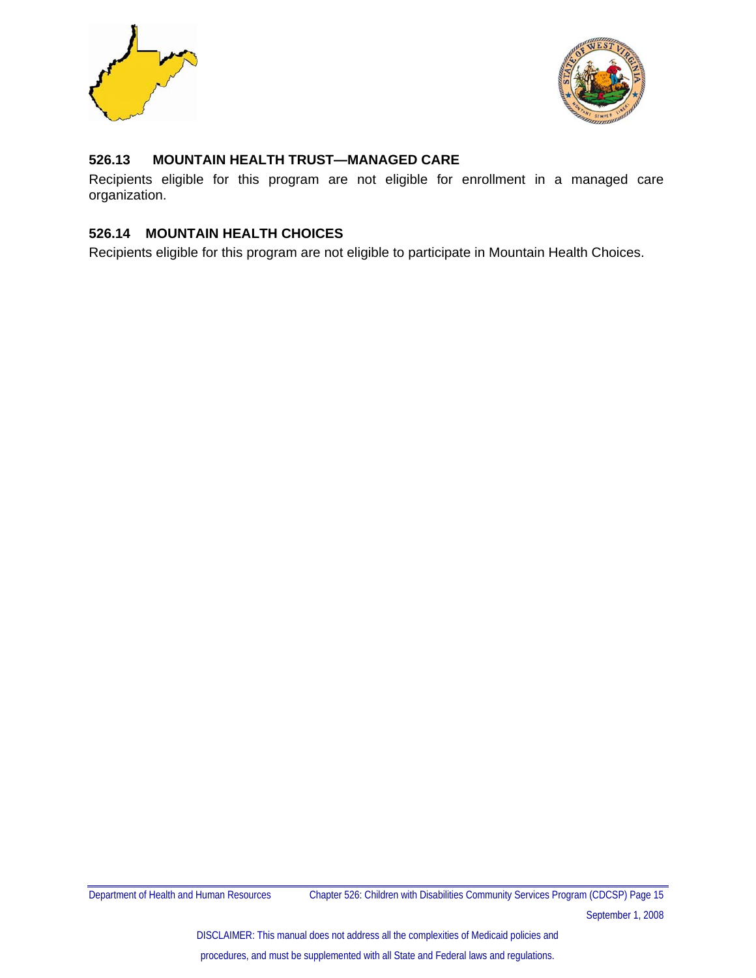



#### **526.13 MOUNTAIN HEALTH TRUST—MANAGED CARE**

Recipients eligible for this program are not eligible for enrollment in a managed care organization.

#### **526.14 MOUNTAIN HEALTH CHOICES**

Recipients eligible for this program are not eligible to participate in Mountain Health Choices.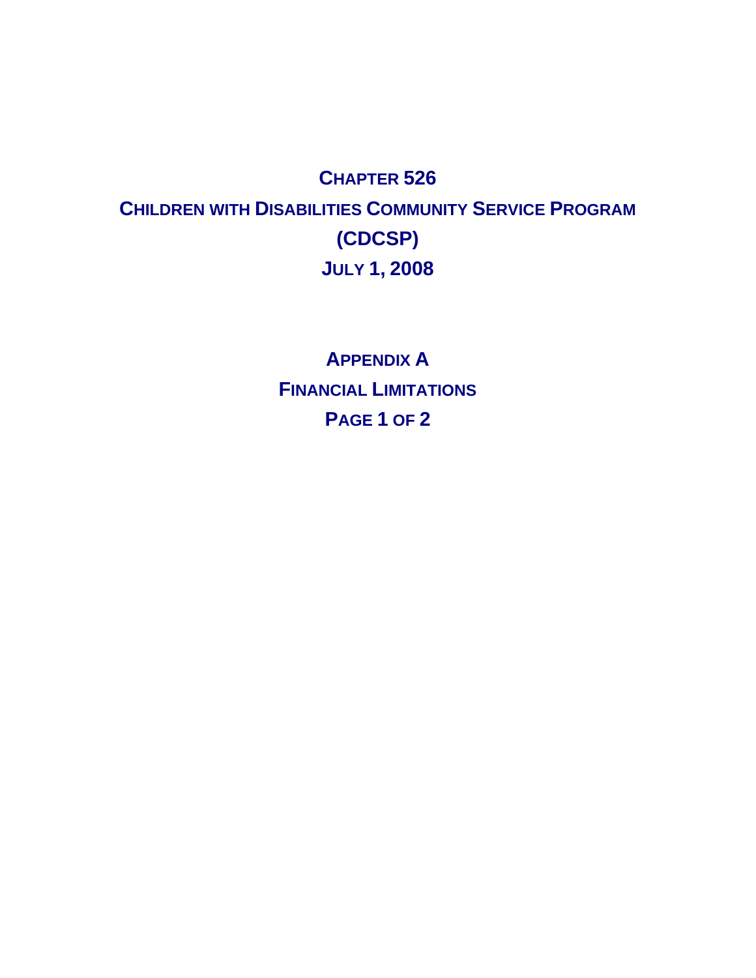## **CHAPTER 526 CHILDREN WITH DISABILITIES COMMUNITY SERVICE PROGRAM (CDCSP) JULY 1, 2008**

**APPENDIX A FINANCIAL LIMITATIONS PAGE 1 OF 2**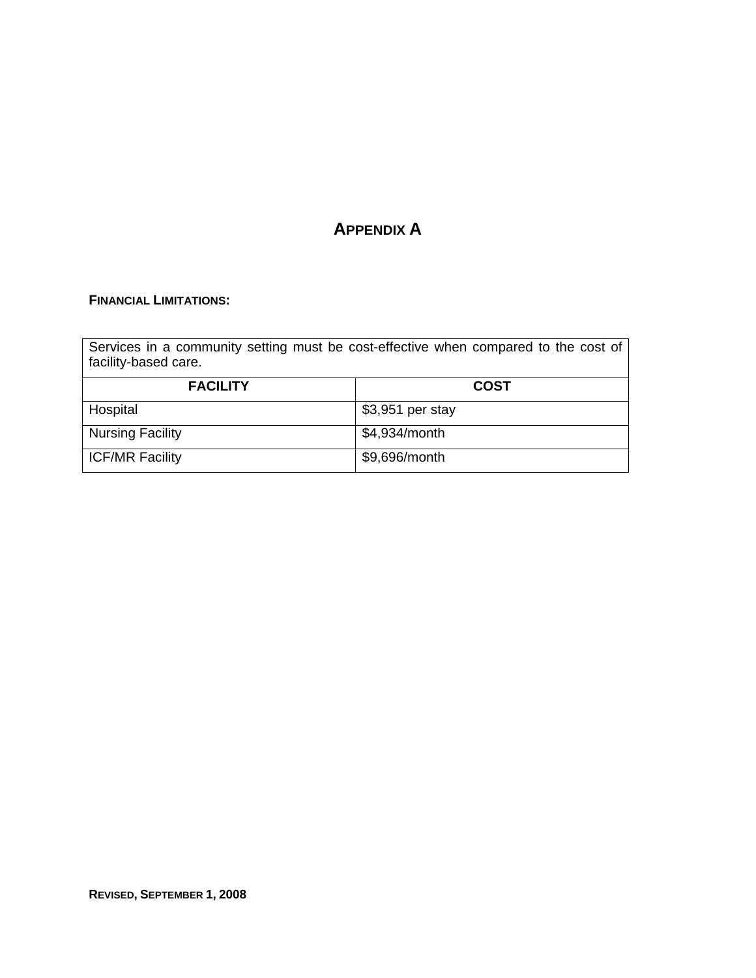### **APPENDIX A**

#### **FINANCIAL LIMITATIONS:**

| Services in a community setting must be cost-effective when compared to the cost of<br>facility-based care. |                  |  |  |  |  |  |
|-------------------------------------------------------------------------------------------------------------|------------------|--|--|--|--|--|
| <b>FACILITY</b>                                                                                             | <b>COST</b>      |  |  |  |  |  |
| Hospital                                                                                                    | \$3,951 per stay |  |  |  |  |  |
| <b>Nursing Facility</b>                                                                                     | \$4,934/month    |  |  |  |  |  |
| ICF/MR Facility                                                                                             | \$9,696/month    |  |  |  |  |  |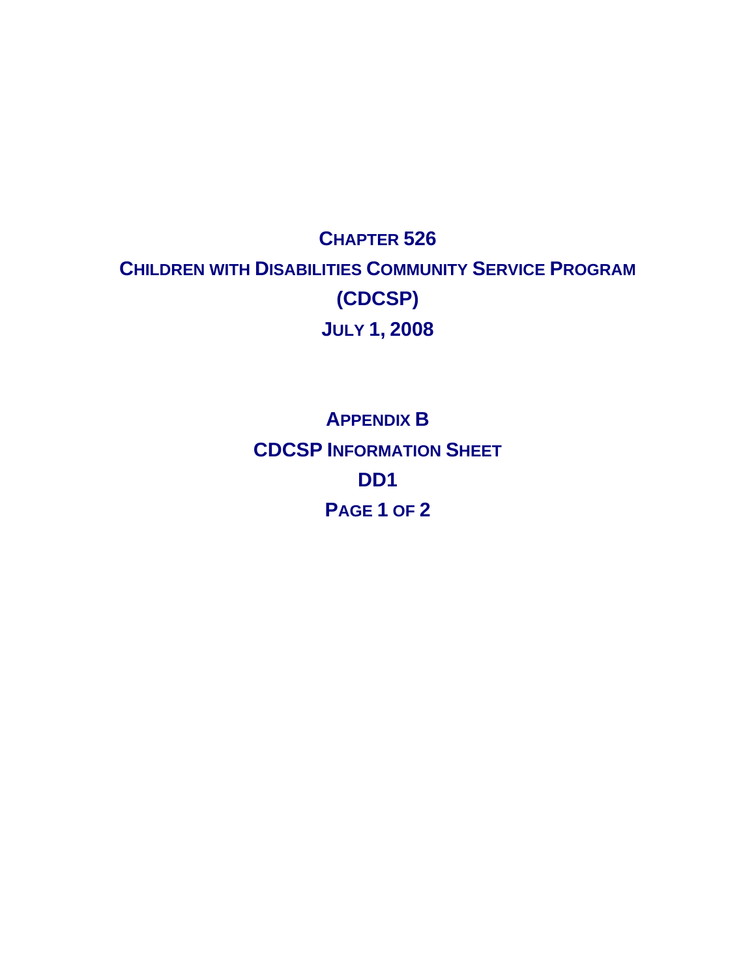## **CHAPTER 526 CHILDREN WITH DISABILITIES COMMUNITY SERVICE PROGRAM (CDCSP) JULY 1, 2008**

**APPENDIX B CDCSP INFORMATION SHEET DD1 PAGE 1 OF 2**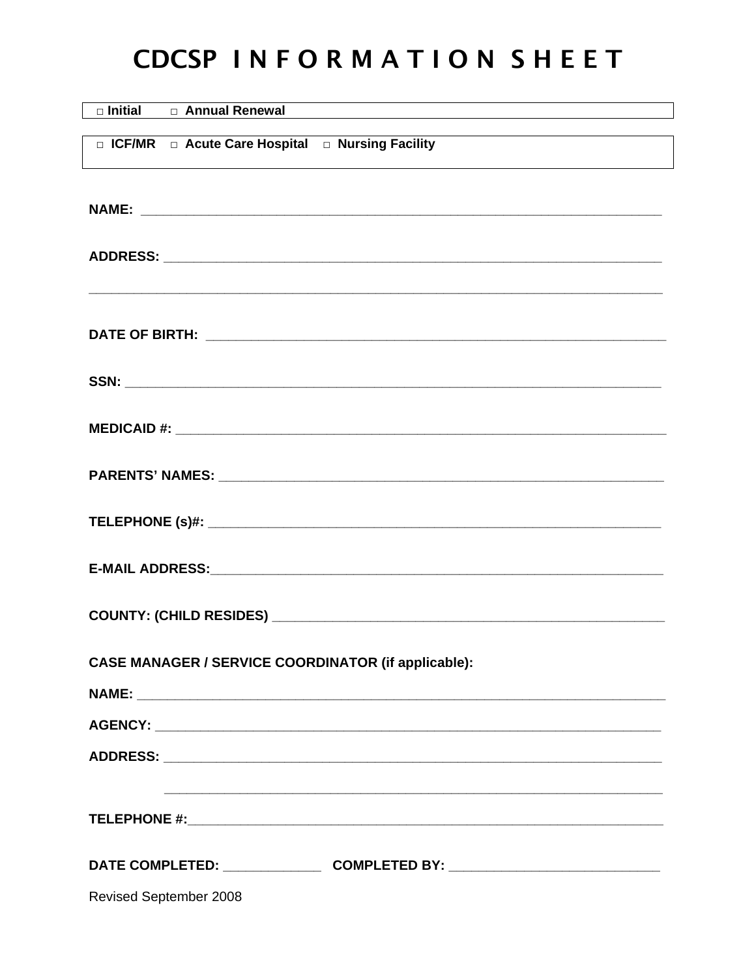# CDCSP INFORMATION SHEET

| □ Initial □ Annual Renewal                                                       |
|----------------------------------------------------------------------------------|
| □ ICF/MR □ Acute Care Hospital □ Nursing Facility                                |
|                                                                                  |
|                                                                                  |
|                                                                                  |
|                                                                                  |
|                                                                                  |
|                                                                                  |
|                                                                                  |
|                                                                                  |
|                                                                                  |
|                                                                                  |
|                                                                                  |
|                                                                                  |
|                                                                                  |
|                                                                                  |
|                                                                                  |
| <b>CASE MANAGER / SERVICE COORDINATOR (if applicable):</b>                       |
|                                                                                  |
|                                                                                  |
|                                                                                  |
|                                                                                  |
|                                                                                  |
| DATE COMPLETED: ________________________COMPLETED BY: __________________________ |
| Revised September 2008                                                           |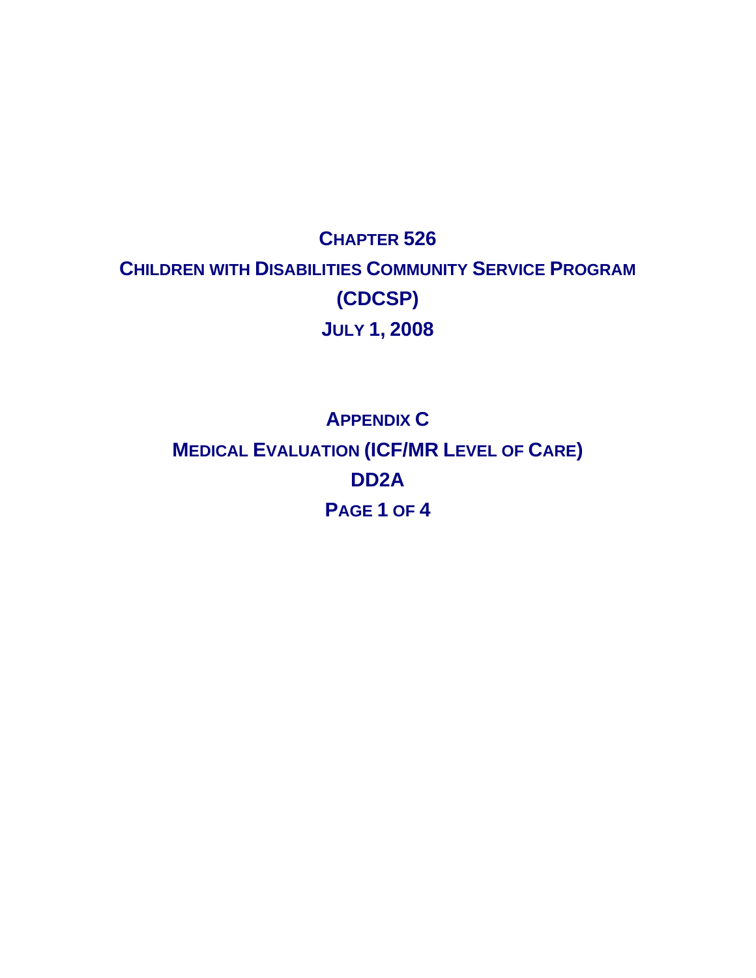## **CHAPTER 526 CHILDREN WITH DISABILITIES COMMUNITY SERVICE PROGRAM (CDCSP) JULY 1, 2008**

# **APPENDIX C MEDICAL EVALUATION (ICF/MR LEVEL OF CARE) DD2A PAGE 1 OF 4**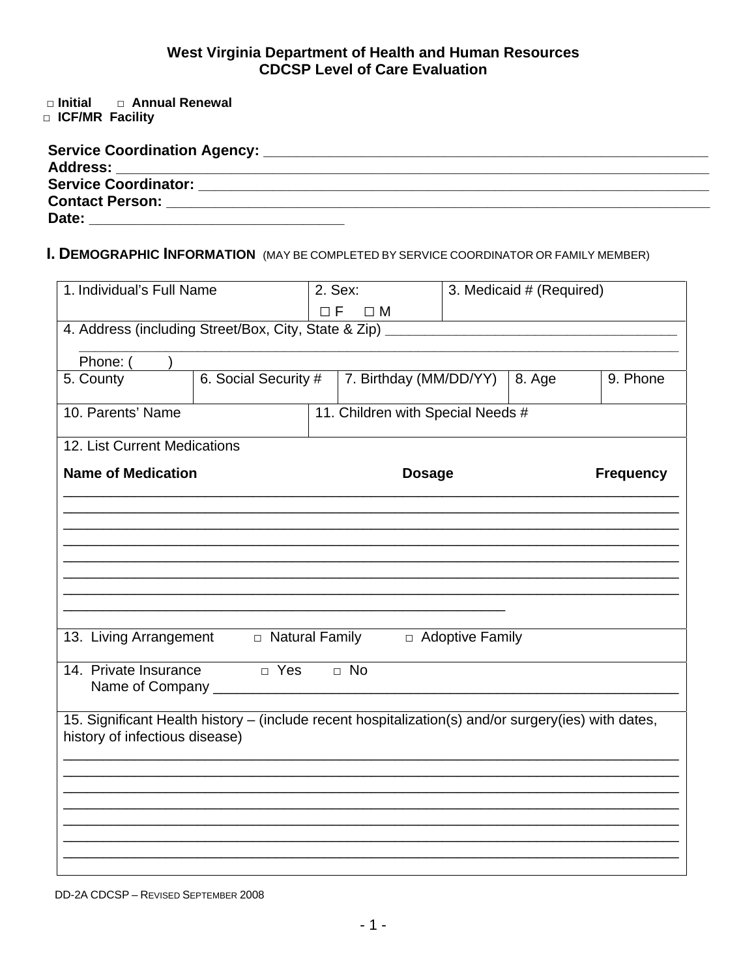# West Virginia Department of Health and Human Resources<br>CDCSP Level of Care Evaluation

 $\square$  Initial □ Annual Renewal

**D ICF/MR Facility** 

| Address: _____________________________ |  |
|----------------------------------------|--|
| <b>Service Coordinator:</b>            |  |
| <b>Contact Person:</b>                 |  |
| Date:                                  |  |

### I. DEMOGRAPHIC INFORMATION (MAY BE COMPLETED BY SERVICE COORDINATOR OR FAMILY MEMBER)

| 1. Individual's Full Name                                                                           |                      | 2. Sex:  |                                   | 3. Medicaid # (Required) |        |                  |
|-----------------------------------------------------------------------------------------------------|----------------------|----------|-----------------------------------|--------------------------|--------|------------------|
|                                                                                                     |                      | $\Box F$ | $\square$ M                       |                          |        |                  |
| 4. Address (including Street/Box, City, State & Zip) _                                              |                      |          |                                   |                          |        |                  |
| Phone: (                                                                                            |                      |          |                                   |                          |        |                  |
| 5. County                                                                                           | 6. Social Security # |          | 7. Birthday (MM/DD/YY)            |                          | 8. Age | 9. Phone         |
|                                                                                                     |                      |          |                                   |                          |        |                  |
| 10. Parents' Name                                                                                   |                      |          | 11. Children with Special Needs # |                          |        |                  |
| 12. List Current Medications                                                                        |                      |          |                                   |                          |        |                  |
| <b>Name of Medication</b>                                                                           |                      |          | <b>Dosage</b>                     |                          |        | <b>Frequency</b> |
|                                                                                                     |                      |          |                                   |                          |        |                  |
|                                                                                                     |                      |          |                                   |                          |        |                  |
|                                                                                                     |                      |          |                                   |                          |        |                  |
|                                                                                                     |                      |          |                                   |                          |        |                  |
|                                                                                                     |                      |          |                                   |                          |        |                  |
|                                                                                                     |                      |          |                                   |                          |        |                  |
|                                                                                                     |                      |          |                                   |                          |        |                  |
| 13. Living Arrangement $\Box$ Natural Family $\Box$ Adoptive Family                                 |                      |          |                                   |                          |        |                  |
| 14. Private Insurance                                                                               | $\Box$ Yes           |          | $\Box$ No                         |                          |        |                  |
| Name of Company ___                                                                                 |                      |          |                                   |                          |        |                  |
| 15. Significant Health history - (include recent hospitalization(s) and/or surgery(ies) with dates, |                      |          |                                   |                          |        |                  |
| history of infectious disease)                                                                      |                      |          |                                   |                          |        |                  |
|                                                                                                     |                      |          |                                   |                          |        |                  |
|                                                                                                     |                      |          |                                   |                          |        |                  |
|                                                                                                     |                      |          |                                   |                          |        |                  |
|                                                                                                     |                      |          |                                   |                          |        |                  |
|                                                                                                     |                      |          |                                   |                          |        |                  |
|                                                                                                     |                      |          |                                   |                          |        |                  |
|                                                                                                     |                      |          |                                   |                          |        |                  |

DD-2A CDCSP - REVISED SEPTEMBER 2008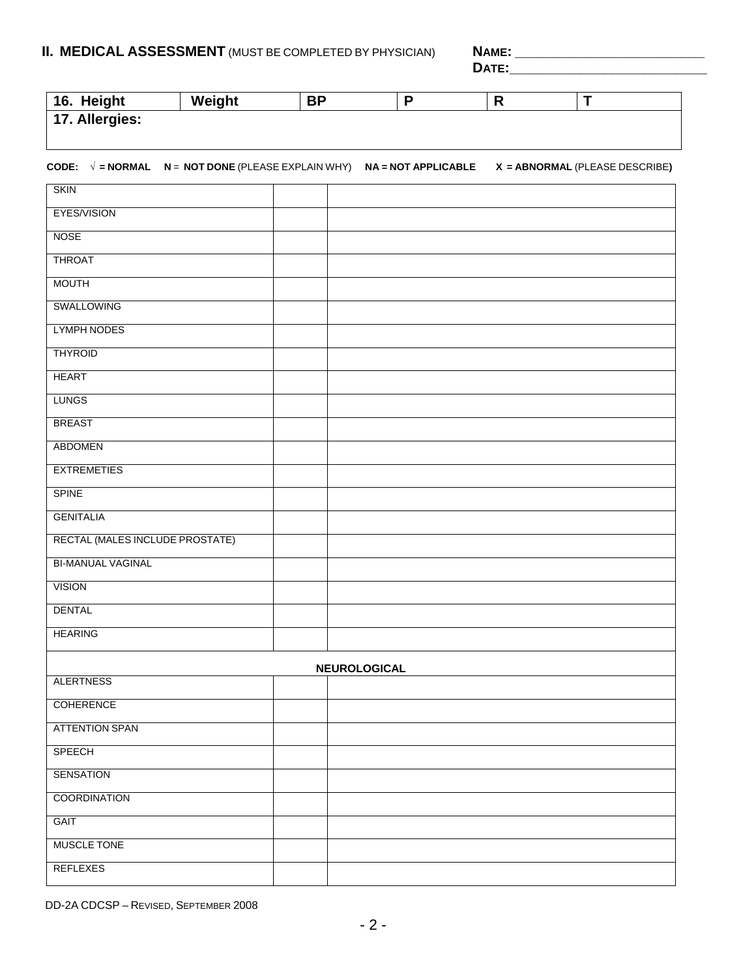#### **II. MEDICAL ASSESSMENT** (MUST BE COMPLETED BY PHYSICIAN) **NAME: \_\_\_\_\_\_\_\_\_\_\_\_\_\_\_\_\_\_\_\_\_\_\_\_**

 **DATE:\_\_\_\_\_\_\_\_\_\_\_\_\_\_\_\_\_\_\_\_\_\_\_\_\_** 

| 16. Height     | Weight | ΒP |  |  |
|----------------|--------|----|--|--|
| 17. Allergies: |        |    |  |  |

#### **CODE: √ = NORMAL N** = **NOT DONE** (PLEASE EXPLAIN WHY) **NA = NOT APPLICABLE X = ABNORMAL** (PLEASE DESCRIBE**)**

| <b>SKIN</b>                     |              |
|---------------------------------|--------------|
| EYES/VISION                     |              |
| <b>NOSE</b>                     |              |
| <b>THROAT</b>                   |              |
| <b>MOUTH</b>                    |              |
| SWALLOWING                      |              |
| <b>LYMPH NODES</b>              |              |
| <b>THYROID</b>                  |              |
| <b>HEART</b>                    |              |
| <b>LUNGS</b>                    |              |
| <b>BREAST</b>                   |              |
| <b>ABDOMEN</b>                  |              |
| <b>EXTREMETIES</b>              |              |
| <b>SPINE</b>                    |              |
| <b>GENITALIA</b>                |              |
| RECTAL (MALES INCLUDE PROSTATE) |              |
| <b>BI-MANUAL VAGINAL</b>        |              |
| <b>VISION</b>                   |              |
| <b>DENTAL</b>                   |              |
| <b>HEARING</b>                  |              |
|                                 | NEUROLOGICAL |
| <b>ALERTNESS</b>                |              |
| <b>COHERENCE</b>                |              |
| <b>ATTENTION SPAN</b>           |              |
| <b>SPEECH</b>                   |              |
| <b>SENSATION</b>                |              |
| <b>COORDINATION</b>             |              |
| <b>GAIT</b>                     |              |
| MUSCLE TONE                     |              |
| <b>REFLEXES</b>                 |              |

DD-2A CDCSP – REVISED, SEPTEMBER 2008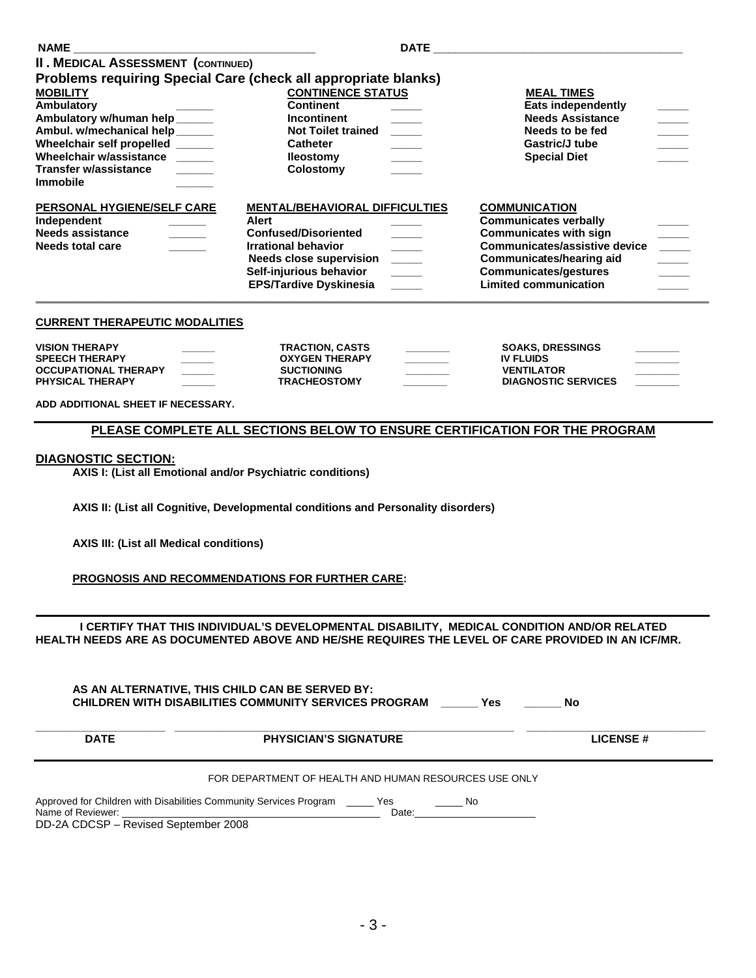|                                                                                 |                                                                | <b>DATE DATE</b>                               |                                                                                                     |
|---------------------------------------------------------------------------------|----------------------------------------------------------------|------------------------------------------------|-----------------------------------------------------------------------------------------------------|
| <b>II. MEDICAL ASSESSMENT (CONTINUED)</b>                                       |                                                                |                                                |                                                                                                     |
|                                                                                 | Problems requiring Special Care (check all appropriate blanks) |                                                |                                                                                                     |
| <b>MOBILITY</b><br>Ambulatory                                                   | <b>CONTINENCE STATUS</b><br><b>Continent</b>                   | <b>MEAL TIMES</b><br><b>Eats independently</b> |                                                                                                     |
| Ambulatory w/human help ______                                                  | Incontinent                                                    | <b>Needs Assistance</b>                        |                                                                                                     |
| Ambul. w/mechanical help _____<br>Wheelchair self propelled _____               | Not Toilet trained _____<br><b>Catheter</b>                    | Needs to be fed<br><b>Gastric/J tube</b>       | $\overline{\phantom{a}}$<br>$\overline{\phantom{a}}$                                                |
| Wheelchair w/assistance ______                                                  | <b>Ileostomy</b><br>$\frac{1}{2}$                              | <b>Special Diet</b>                            |                                                                                                     |
| <b>Transfer w/assistance</b><br><b>Immobile</b>                                 | Colostomy                                                      |                                                |                                                                                                     |
| PERSONAL HYGIENE/SELF CARE                                                      | <b>MENTAL/BEHAVIORAL DIFFICULTIES</b>                          | <b>COMMUNICATION</b>                           |                                                                                                     |
| Independent                                                                     | Alert                                                          | <b>Communicates verbally</b>                   |                                                                                                     |
| Needs assistance<br>$\mathcal{L}^{\text{max}}$ , and $\mathcal{L}^{\text{max}}$ | <b>Confused/Disoriented</b>                                    | <b>Communicates with sign</b>                  | $\frac{\partial \mathbf{u}}{\partial \mathbf{u}} = \frac{\partial \mathbf{u}}{\partial \mathbf{u}}$ |
| Needs total care                                                                | <b>Irrational behavior</b>                                     | Communicates/assistive device                  |                                                                                                     |
|                                                                                 | Needs close supervision ____                                   | <b>Communicates/hearing aid</b>                | $\mathbb{R}^n$                                                                                      |
|                                                                                 | Self-injurious behavior<br>$\frac{1}{2}$                       | <b>Communicates/gestures</b>                   |                                                                                                     |
|                                                                                 | <b>EPS/Tardive Dyskinesia</b>                                  | <b>Limited communication</b>                   |                                                                                                     |
|                                                                                 |                                                                |                                                |                                                                                                     |

#### **CURRENT THERAPEUTIC MODALITIES**

| <b>VISION THERAPY</b>   | ________ | <b>TRACTION, CASTS</b> | <b>SOAKS. DRESSINGS</b>    |  |
|-------------------------|----------|------------------------|----------------------------|--|
| <b>SPEECH THERAPY</b>   |          | <b>OXYGEN THERAPY</b>  | <b>IV FLUIDS</b>           |  |
| OCCUPATIONAL THERAPY    |          | <b>SUCTIONING</b>      | <b>VENTILATOR</b>          |  |
| <b>PHYSICAL THERAPY</b> |          | <b>TRACHEOSTOMY</b>    | <b>DIAGNOSTIC SERVICES</b> |  |

**ADD ADDITIONAL SHEET IF NECESSARY.** 

#### **PLEASE COMPLETE ALL SECTIONS BELOW TO ENSURE CERTIFICATION FOR THE PROGRAM**

#### **DIAGNOSTIC SECTION:**

 **AXIS I: (List all Emotional and/or Psychiatric conditions)** 

 **AXIS II: (List all Cognitive, Developmental conditions and Personality disorders)** 

 **AXIS III: (List all Medical conditions)** 

 **PROGNOSIS AND RECOMMENDATIONS FOR FURTHER CARE:** 

 **I CERTIFY THAT THIS INDIVIDUAL'S DEVELOPMENTAL DISABILITY, MEDICAL CONDITION AND/OR RELATED HEALTH NEEDS ARE AS DOCUMENTED ABOVE AND HE/SHE REQUIRES THE LEVEL OF CARE PROVIDED IN AN ICF/MR.** 

|                                                           | AS AN ALTERNATIVE, THIS CHILD CAN BE SERVED BY:<br><b>CHILDREN WITH DISABILITIES COMMUNITY SERVICES PROGRAM</b><br><b>Yes</b> | No              |
|-----------------------------------------------------------|-------------------------------------------------------------------------------------------------------------------------------|-----------------|
| <b>DATE</b>                                               | <b>PHYSICIAN'S SIGNATURE</b>                                                                                                  | <b>LICENSE#</b> |
|                                                           | FOR DEPARTMENT OF HEALTH AND HUMAN RESOURCES USE ONLY                                                                         |                 |
| Name of Reviewer:<br>DD-2A CDCSP - Revised September 2008 | Approved for Children with Disabilities Community Services Program _______ Yes<br>a No<br>Date:                               |                 |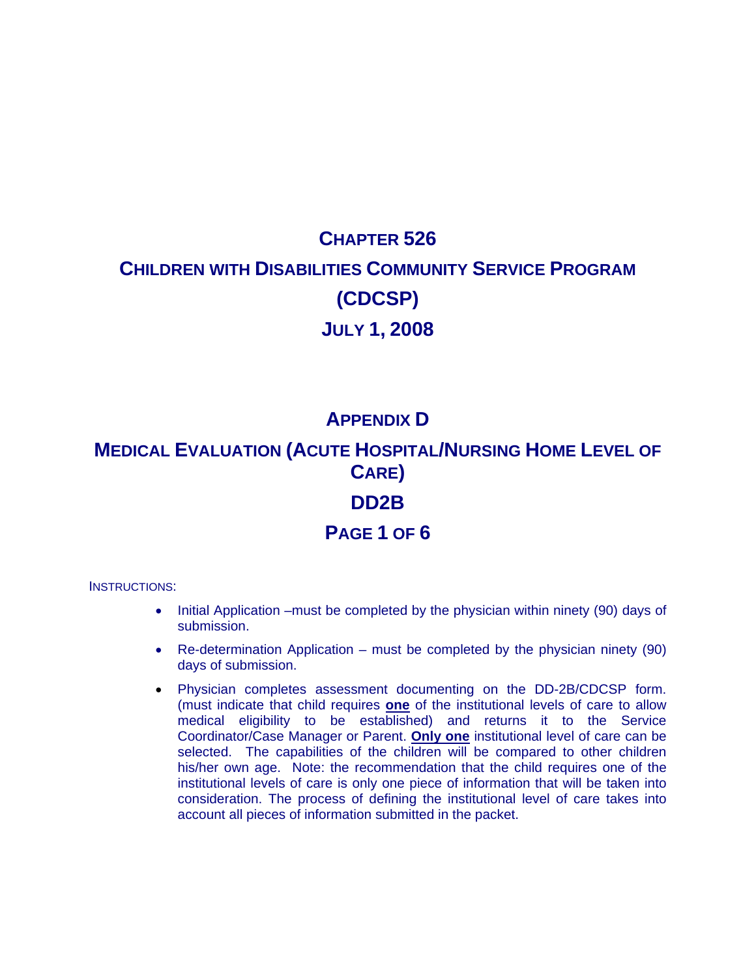# **CHAPTER 526 CHILDREN WITH DISABILITIES COMMUNITY SERVICE PROGRAM (CDCSP) JULY 1, 2008**

### **APPENDIX D**

**MEDICAL EVALUATION (ACUTE HOSPITAL/NURSING HOME LEVEL OF CARE)** 

#### **DD2B**

#### **PAGE 1 OF 6**

INSTRUCTIONS:

- Initial Application –must be completed by the physician within ninety (90) days of submission.
- Re-determination Application must be completed by the physician ninety (90) days of submission.
- Physician completes assessment documenting on the DD-2B/CDCSP form. (must indicate that child requires **one** of the institutional levels of care to allow medical eligibility to be established) and returns it to the Service Coordinator/Case Manager or Parent. **Only one** institutional level of care can be selected. The capabilities of the children will be compared to other children his/her own age. Note: the recommendation that the child requires one of the institutional levels of care is only one piece of information that will be taken into consideration. The process of defining the institutional level of care takes into account all pieces of information submitted in the packet.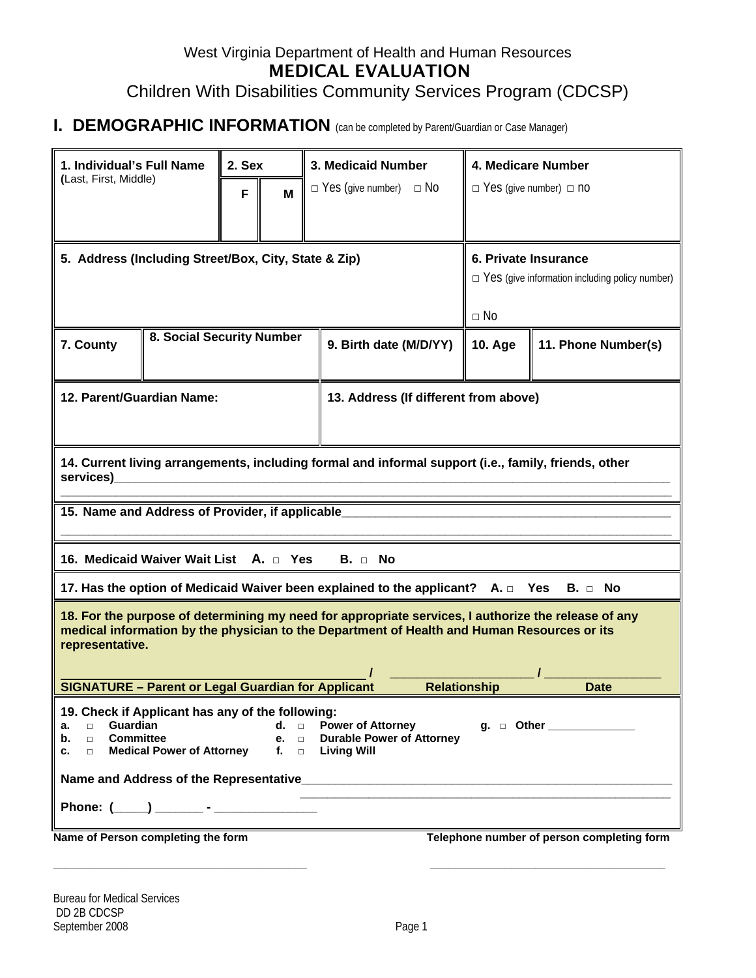### West Virginia Department of Health and Human Resources MEDICAL EVALUATION Children With Disabilities Community Services Program (CDCSP)

#### **I. DEMOGRAPHIC INFORMATION** (can be completed by Parent/Guardian or Case Manager)

| 1. Individual's Full Name<br>(Last, First, Middle)                                                                                                                                                                                                                                                            |                           |   | 2. Sex |                        | 3. Medicaid Number                                                                                                                                                                                 | 4. Medicare Number                                                            |                                            |  |
|---------------------------------------------------------------------------------------------------------------------------------------------------------------------------------------------------------------------------------------------------------------------------------------------------------------|---------------------------|---|--------|------------------------|----------------------------------------------------------------------------------------------------------------------------------------------------------------------------------------------------|-------------------------------------------------------------------------------|--------------------------------------------|--|
|                                                                                                                                                                                                                                                                                                               |                           | F | M      |                        | $\Box$ Yes (give number) $\Box$ No                                                                                                                                                                 | $\Box$ Yes (give number) $\Box$ no                                            |                                            |  |
|                                                                                                                                                                                                                                                                                                               |                           |   |        |                        |                                                                                                                                                                                                    |                                                                               |                                            |  |
| 5. Address (Including Street/Box, City, State & Zip)                                                                                                                                                                                                                                                          |                           |   |        |                        |                                                                                                                                                                                                    | 6. Private Insurance<br>$\Box$ Yes (give information including policy number) |                                            |  |
|                                                                                                                                                                                                                                                                                                               |                           |   |        |                        |                                                                                                                                                                                                    | $\Box$ No                                                                     |                                            |  |
| 7. County                                                                                                                                                                                                                                                                                                     | 8. Social Security Number |   |        | 9. Birth date (M/D/YY) | <b>10. Age</b>                                                                                                                                                                                     | 11. Phone Number(s)                                                           |                                            |  |
| 12. Parent/Guardian Name:<br>13. Address (If different from above)                                                                                                                                                                                                                                            |                           |   |        |                        |                                                                                                                                                                                                    |                                                                               |                                            |  |
| services)                                                                                                                                                                                                                                                                                                     |                           |   |        |                        | 14. Current living arrangements, including formal and informal support (i.e., family, friends, other                                                                                               |                                                                               |                                            |  |
| 15. Name and Address of Provider, if applicable                                                                                                                                                                                                                                                               |                           |   |        |                        |                                                                                                                                                                                                    |                                                                               |                                            |  |
| 16. Medicaid Waiver Wait List A. D Yes                                                                                                                                                                                                                                                                        |                           |   |        |                        | $B. \Box$ No                                                                                                                                                                                       |                                                                               |                                            |  |
|                                                                                                                                                                                                                                                                                                               |                           |   |        |                        | 17. Has the option of Medicaid Waiver been explained to the applicant? $A. \Box$ Yes $B. \Box$ No                                                                                                  |                                                                               |                                            |  |
| representative.                                                                                                                                                                                                                                                                                               |                           |   |        |                        | 18. For the purpose of determining my need for appropriate services, I authorize the release of any<br>medical information by the physician to the Department of Health and Human Resources or its |                                                                               |                                            |  |
| <b>SIGNATURE - Parent or Legal Guardian for Applicant</b>                                                                                                                                                                                                                                                     |                           |   |        |                        | <b>Relationship</b>                                                                                                                                                                                |                                                                               | <b>Date</b>                                |  |
| 19. Check if Applicant has any of the following:<br>Guardian<br>$d.$ $\Box$<br><b>Power of Attorney</b><br>g.  □ Other ____________<br>$\Box$<br>а.<br>□ Committee<br>$e.$ $\Box$<br><b>Durable Power of Attorney</b><br>b.<br>□ Medical Power of Attorney<br>$f_{\rm{m}}$ $\Box$<br><b>Living Will</b><br>c. |                           |   |        |                        |                                                                                                                                                                                                    |                                                                               |                                            |  |
|                                                                                                                                                                                                                                                                                                               |                           |   |        |                        |                                                                                                                                                                                                    |                                                                               |                                            |  |
| Name of Person completing the form                                                                                                                                                                                                                                                                            |                           |   |        |                        |                                                                                                                                                                                                    |                                                                               | Telephone number of person completing form |  |

**\_\_\_\_\_\_\_\_\_\_\_\_\_\_\_\_\_\_\_\_\_\_\_\_\_\_\_\_\_\_\_\_\_\_\_\_\_\_\_\_\_ \_\_\_\_\_\_\_\_\_\_\_\_\_\_\_\_\_\_\_\_\_\_\_\_\_\_\_\_\_\_\_\_\_\_\_\_\_\_**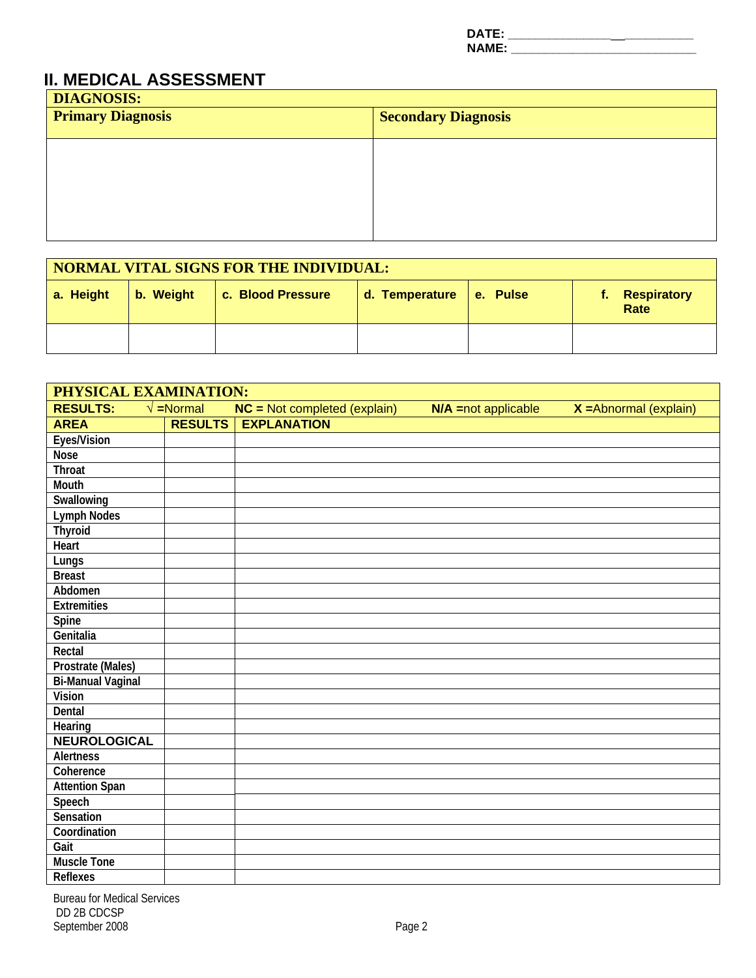**DATE: \_\_\_\_\_\_\_\_\_\_\_\_\_\_\_**\_\_**\_\_\_\_\_\_\_\_\_\_ NAME: \_\_\_\_\_\_\_\_\_\_\_\_\_\_\_\_\_\_\_\_\_\_\_\_\_\_\_\_\_\_\_\_** 

#### **II. MEDICAL ASSESSMENT**

| <b>DIAGNOSIS:</b><br><b>Primary Diagnosis</b> | <b>Secondary Diagnosis</b> |  |
|-----------------------------------------------|----------------------------|--|
|                                               |                            |  |
|                                               |                            |  |
|                                               |                            |  |
|                                               |                            |  |

| <b>NORMAL VITAL SIGNS FOR THE INDIVIDUAL:</b> |           |                   |                           |  |                                   |  |
|-----------------------------------------------|-----------|-------------------|---------------------------|--|-----------------------------------|--|
| a. Height                                     | b. Weight | c. Blood Pressure | d. Temperature   e. Pulse |  | <b>Respiratory</b><br>t.,<br>Rate |  |
|                                               |           |                   |                           |  |                                   |  |

| PHYSICAL EXAMINATION: |                               |                                     |                       |                          |  |  |  |
|-----------------------|-------------------------------|-------------------------------------|-----------------------|--------------------------|--|--|--|
| <b>RESULTS:</b>       | $\sqrt{\frac{1}{2}}$ = Normal | <b>NC</b> = Not completed (explain) | $N/A$ =not applicable | $X =$ Abnormal (explain) |  |  |  |
| <b>AREA</b>           | <b>RESULTS</b>                | <b>EXPLANATION</b>                  |                       |                          |  |  |  |
| Eyes/Vision           |                               |                                     |                       |                          |  |  |  |
| <b>Nose</b>           |                               |                                     |                       |                          |  |  |  |
| <b>Throat</b>         |                               |                                     |                       |                          |  |  |  |
| <b>Mouth</b>          |                               |                                     |                       |                          |  |  |  |
| Swallowing            |                               |                                     |                       |                          |  |  |  |
| <b>Lymph Nodes</b>    |                               |                                     |                       |                          |  |  |  |
| <b>Thyroid</b>        |                               |                                     |                       |                          |  |  |  |
| Heart                 |                               |                                     |                       |                          |  |  |  |
| Lungs                 |                               |                                     |                       |                          |  |  |  |
| <b>Breast</b>         |                               |                                     |                       |                          |  |  |  |
| Abdomen               |                               |                                     |                       |                          |  |  |  |
| <b>Extremities</b>    |                               |                                     |                       |                          |  |  |  |
| Spine                 |                               |                                     |                       |                          |  |  |  |
| Genitalia             |                               |                                     |                       |                          |  |  |  |
| Rectal                |                               |                                     |                       |                          |  |  |  |
| Prostrate (Males)     |                               |                                     |                       |                          |  |  |  |
| Bi-Manual Vaginal     |                               |                                     |                       |                          |  |  |  |
| <b>Vision</b>         |                               |                                     |                       |                          |  |  |  |
| Dental                |                               |                                     |                       |                          |  |  |  |
| Hearing               |                               |                                     |                       |                          |  |  |  |
| <b>NEUROLOGICAL</b>   |                               |                                     |                       |                          |  |  |  |
| <b>Alertness</b>      |                               |                                     |                       |                          |  |  |  |
| Coherence             |                               |                                     |                       |                          |  |  |  |
| <b>Attention Span</b> |                               |                                     |                       |                          |  |  |  |
| Speech                |                               |                                     |                       |                          |  |  |  |
| Sensation             |                               |                                     |                       |                          |  |  |  |
| Coordination          |                               |                                     |                       |                          |  |  |  |
| Gait                  |                               |                                     |                       |                          |  |  |  |
| <b>Muscle Tone</b>    |                               |                                     |                       |                          |  |  |  |
| <b>Reflexes</b>       |                               |                                     |                       |                          |  |  |  |

Bureau for Medical Services DD 2B CDCSP September 2008 Page 2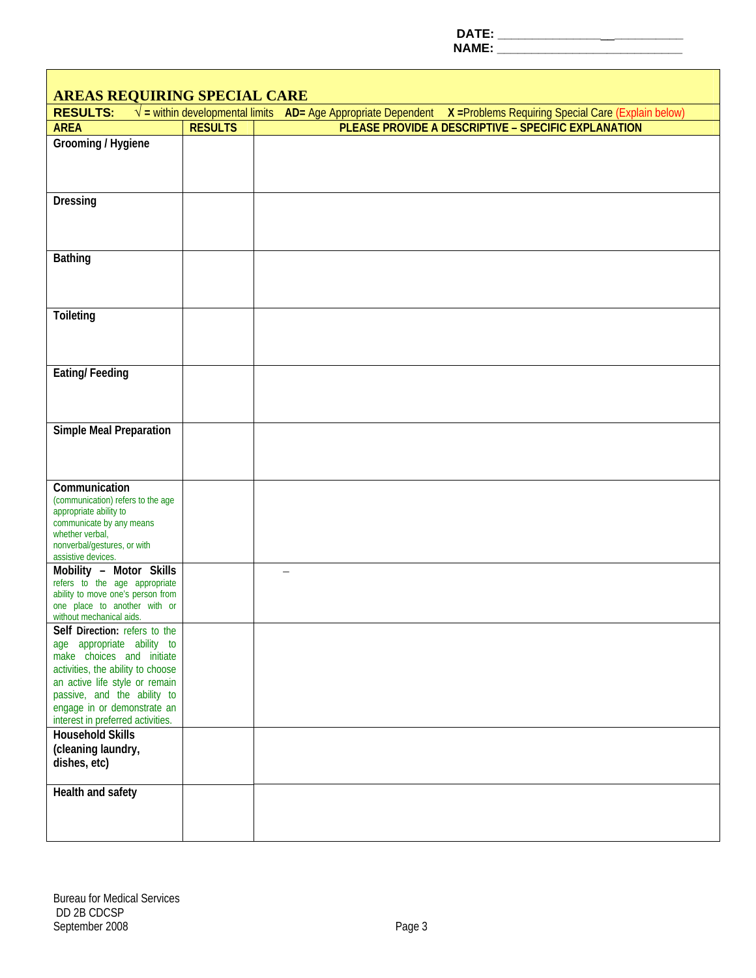**DATE: \_\_\_\_\_\_\_\_\_\_\_\_\_\_\_**\_\_**\_\_\_\_\_\_\_\_\_\_** 

**NAME: \_\_\_\_\_\_\_\_\_\_\_\_\_\_\_\_\_\_\_\_\_\_\_\_\_\_\_\_\_\_\_** 

| <b>AREAS REQUIRING SPECIAL CARE</b>                                                                                                                                                                                                                                |                |                                                                                                                           |  |  |  |  |  |  |
|--------------------------------------------------------------------------------------------------------------------------------------------------------------------------------------------------------------------------------------------------------------------|----------------|---------------------------------------------------------------------------------------------------------------------------|--|--|--|--|--|--|
| <b>RESULTS:</b>                                                                                                                                                                                                                                                    |                | $\sqrt{}$ = within developmental limits AD= Age Appropriate Dependent X = Problems Requiring Special Care (Explain below) |  |  |  |  |  |  |
| <b>AREA</b>                                                                                                                                                                                                                                                        | <b>RESULTS</b> | PLEASE PROVIDE A DESCRIPTIVE - SPECIFIC EXPLANATION                                                                       |  |  |  |  |  |  |
| Grooming / Hygiene                                                                                                                                                                                                                                                 |                |                                                                                                                           |  |  |  |  |  |  |
| <b>Dressing</b>                                                                                                                                                                                                                                                    |                |                                                                                                                           |  |  |  |  |  |  |
|                                                                                                                                                                                                                                                                    |                |                                                                                                                           |  |  |  |  |  |  |
| <b>Bathing</b>                                                                                                                                                                                                                                                     |                |                                                                                                                           |  |  |  |  |  |  |
| Toileting                                                                                                                                                                                                                                                          |                |                                                                                                                           |  |  |  |  |  |  |
| <b>Eating/Feeding</b>                                                                                                                                                                                                                                              |                |                                                                                                                           |  |  |  |  |  |  |
| <b>Simple Meal Preparation</b>                                                                                                                                                                                                                                     |                |                                                                                                                           |  |  |  |  |  |  |
| Communication<br>(communication) refers to the age<br>appropriate ability to<br>communicate by any means<br>whether verbal,<br>nonverbal/gestures, or with<br>assistive devices.                                                                                   |                |                                                                                                                           |  |  |  |  |  |  |
| Mobility - Motor Skills<br>refers to the age appropriate<br>ability to move one's person from<br>one place to another with or<br>without mechanical aids.                                                                                                          |                |                                                                                                                           |  |  |  |  |  |  |
| Self Direction: refers to the<br>age appropriate ability to<br>make choices and initiate<br>activities, the ability to choose<br>an active life style or remain<br>passive, and the ability to<br>engage in or demonstrate an<br>interest in preferred activities. |                |                                                                                                                           |  |  |  |  |  |  |
| <b>Household Skills</b><br>(cleaning laundry,<br>dishes, etc)                                                                                                                                                                                                      |                |                                                                                                                           |  |  |  |  |  |  |
| Health and safety                                                                                                                                                                                                                                                  |                |                                                                                                                           |  |  |  |  |  |  |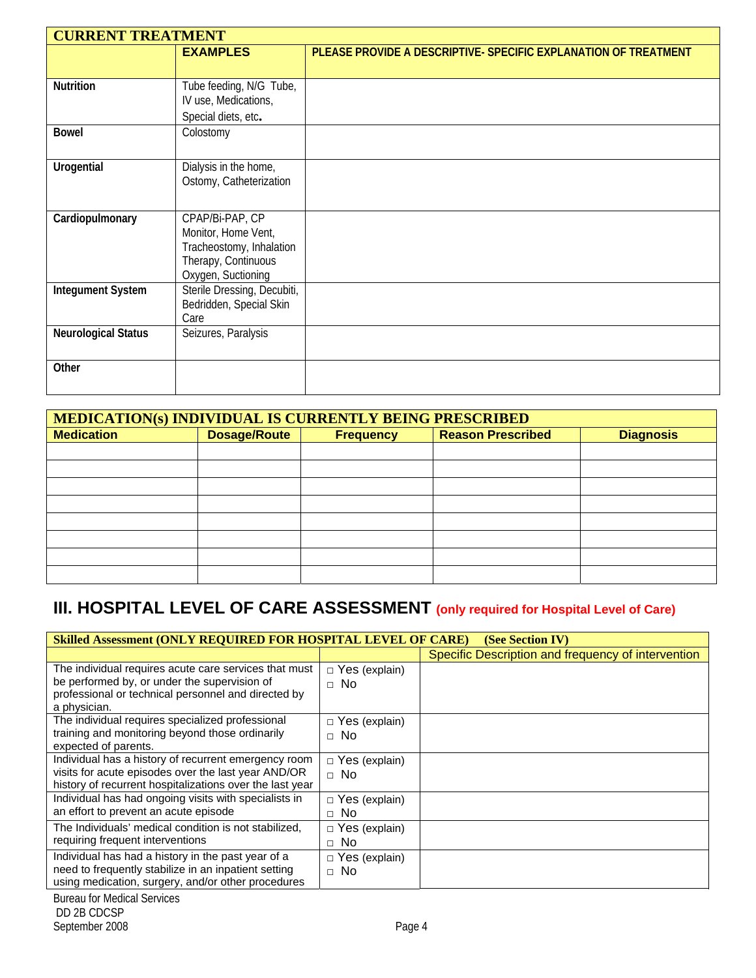|                            | <b>CURRENT TREATMENT</b>    |                                                                 |  |  |  |  |  |  |
|----------------------------|-----------------------------|-----------------------------------------------------------------|--|--|--|--|--|--|
|                            | <b>EXAMPLES</b>             | PLEASE PROVIDE A DESCRIPTIVE- SPECIFIC EXPLANATION OF TREATMENT |  |  |  |  |  |  |
|                            |                             |                                                                 |  |  |  |  |  |  |
| <b>Nutrition</b>           | Tube feeding, N/G Tube,     |                                                                 |  |  |  |  |  |  |
|                            | IV use, Medications,        |                                                                 |  |  |  |  |  |  |
|                            | Special diets, etc.         |                                                                 |  |  |  |  |  |  |
| <b>Bowel</b>               | Colostomy                   |                                                                 |  |  |  |  |  |  |
|                            |                             |                                                                 |  |  |  |  |  |  |
| Urogential                 | Dialysis in the home,       |                                                                 |  |  |  |  |  |  |
|                            | Ostomy, Catheterization     |                                                                 |  |  |  |  |  |  |
|                            |                             |                                                                 |  |  |  |  |  |  |
| Cardiopulmonary            | CPAP/Bi-PAP, CP             |                                                                 |  |  |  |  |  |  |
|                            | Monitor, Home Vent,         |                                                                 |  |  |  |  |  |  |
|                            | Tracheostomy, Inhalation    |                                                                 |  |  |  |  |  |  |
|                            | Therapy, Continuous         |                                                                 |  |  |  |  |  |  |
|                            | Oxygen, Suctioning          |                                                                 |  |  |  |  |  |  |
| <b>Integument System</b>   | Sterile Dressing, Decubiti, |                                                                 |  |  |  |  |  |  |
|                            | Bedridden, Special Skin     |                                                                 |  |  |  |  |  |  |
|                            | Care                        |                                                                 |  |  |  |  |  |  |
| <b>Neurological Status</b> | Seizures, Paralysis         |                                                                 |  |  |  |  |  |  |
|                            |                             |                                                                 |  |  |  |  |  |  |
| Other                      |                             |                                                                 |  |  |  |  |  |  |
|                            |                             |                                                                 |  |  |  |  |  |  |

| <b>MEDICATION(s) INDIVIDUAL IS CURRENTLY BEING PRESCRIBED</b> |                                                                     |  |  |  |  |  |  |
|---------------------------------------------------------------|---------------------------------------------------------------------|--|--|--|--|--|--|
| <b>Medication</b>                                             | <b>Dosage/Route</b><br><b>Reason Prescribed</b><br><b>Frequency</b> |  |  |  |  |  |  |
|                                                               |                                                                     |  |  |  |  |  |  |
|                                                               |                                                                     |  |  |  |  |  |  |
|                                                               |                                                                     |  |  |  |  |  |  |
|                                                               |                                                                     |  |  |  |  |  |  |
|                                                               |                                                                     |  |  |  |  |  |  |
|                                                               |                                                                     |  |  |  |  |  |  |
|                                                               |                                                                     |  |  |  |  |  |  |
|                                                               |                                                                     |  |  |  |  |  |  |

### **III. HOSPITAL LEVEL OF CARE ASSESSMENT (only required for Hospital Level of Care)**

| Skilled Assessment (ONLY REQUIRED FOR HOSPITAL LEVEL OF CARE)<br>(See Section IV) |                      |                                                    |  |  |  |
|-----------------------------------------------------------------------------------|----------------------|----------------------------------------------------|--|--|--|
|                                                                                   |                      | Specific Description and frequency of intervention |  |  |  |
| The individual requires acute care services that must                             | $\Box$ Yes (explain) |                                                    |  |  |  |
| be performed by, or under the supervision of                                      | $\Box$ No            |                                                    |  |  |  |
| professional or technical personnel and directed by                               |                      |                                                    |  |  |  |
| a physician.                                                                      |                      |                                                    |  |  |  |
| The individual requires specialized professional                                  | $\Box$ Yes (explain) |                                                    |  |  |  |
| training and monitoring beyond those ordinarily                                   | $\Box$ No            |                                                    |  |  |  |
| expected of parents.                                                              |                      |                                                    |  |  |  |
| Individual has a history of recurrent emergency room                              | $\Box$ Yes (explain) |                                                    |  |  |  |
| visits for acute episodes over the last year AND/OR                               | $\Box$ No            |                                                    |  |  |  |
| history of recurrent hospitalizations over the last year                          |                      |                                                    |  |  |  |
| Individual has had ongoing visits with specialists in                             | $\Box$ Yes (explain) |                                                    |  |  |  |
| an effort to prevent an acute episode                                             | No.<br>П.            |                                                    |  |  |  |
| The Individuals' medical condition is not stabilized,                             | $\Box$ Yes (explain) |                                                    |  |  |  |
| requiring frequent interventions                                                  | No.<br>$\Box$        |                                                    |  |  |  |
| Individual has had a history in the past year of a                                | $\Box$ Yes (explain) |                                                    |  |  |  |
| need to frequently stabilize in an inpatient setting                              | $\Box$ No            |                                                    |  |  |  |
| using medication, surgery, and/or other procedures                                |                      |                                                    |  |  |  |
|                                                                                   |                      |                                                    |  |  |  |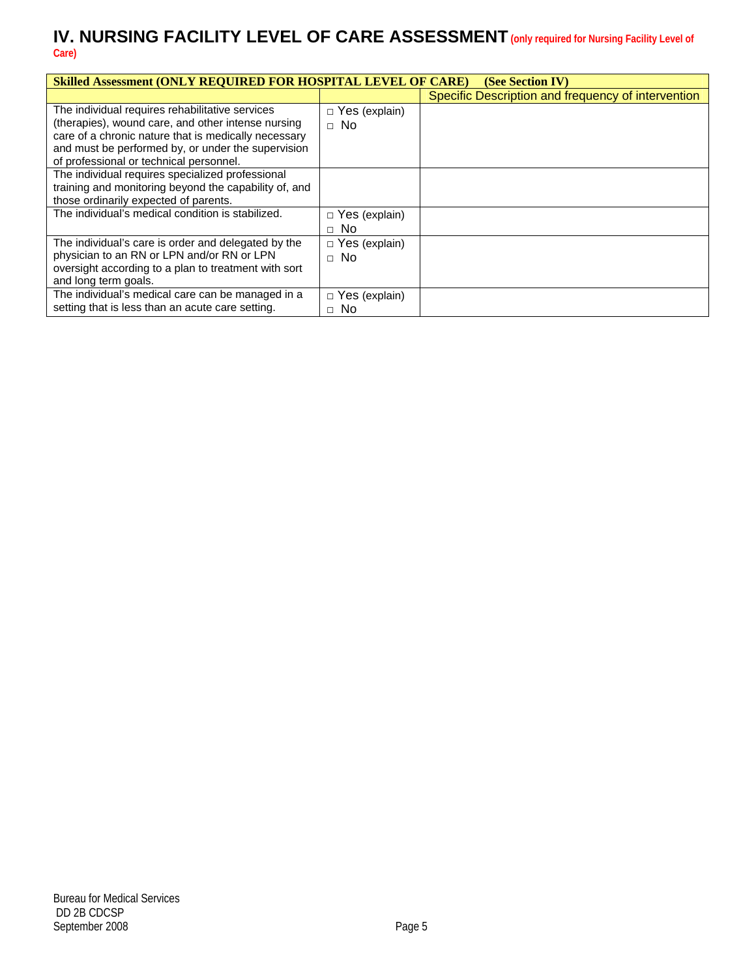#### **IV. NURSING FACILITY LEVEL OF CARE ASSESSMENT(only required for Nursing Facility Level of Care)**

| <b>Skilled Assessment (ONLY REQUIRED FOR HOSPITAL LEVEL OF CARE)</b><br>(See Section IV)                                                                                                                                                                       |                                   |                                                    |  |  |  |  |
|----------------------------------------------------------------------------------------------------------------------------------------------------------------------------------------------------------------------------------------------------------------|-----------------------------------|----------------------------------------------------|--|--|--|--|
|                                                                                                                                                                                                                                                                |                                   | Specific Description and frequency of intervention |  |  |  |  |
| The individual requires rehabilitative services<br>(therapies), wound care, and other intense nursing<br>care of a chronic nature that is medically necessary<br>and must be performed by, or under the supervision<br>of professional or technical personnel. | $\Box$ Yes (explain)<br>$\Box$ No |                                                    |  |  |  |  |
| The individual requires specialized professional<br>training and monitoring beyond the capability of, and<br>those ordinarily expected of parents.<br>The individual's medical condition is stabilized.                                                        | $\Box$ Yes (explain)<br>$\Box$ No |                                                    |  |  |  |  |
| The individual's care is order and delegated by the<br>physician to an RN or LPN and/or RN or LPN<br>oversight according to a plan to treatment with sort<br>and long term goals.                                                                              | $\Box$ Yes (explain)<br>$\Box$ No |                                                    |  |  |  |  |
| The individual's medical care can be managed in a<br>setting that is less than an acute care setting.                                                                                                                                                          | $\Box$ Yes (explain)<br>$\Box$ No |                                                    |  |  |  |  |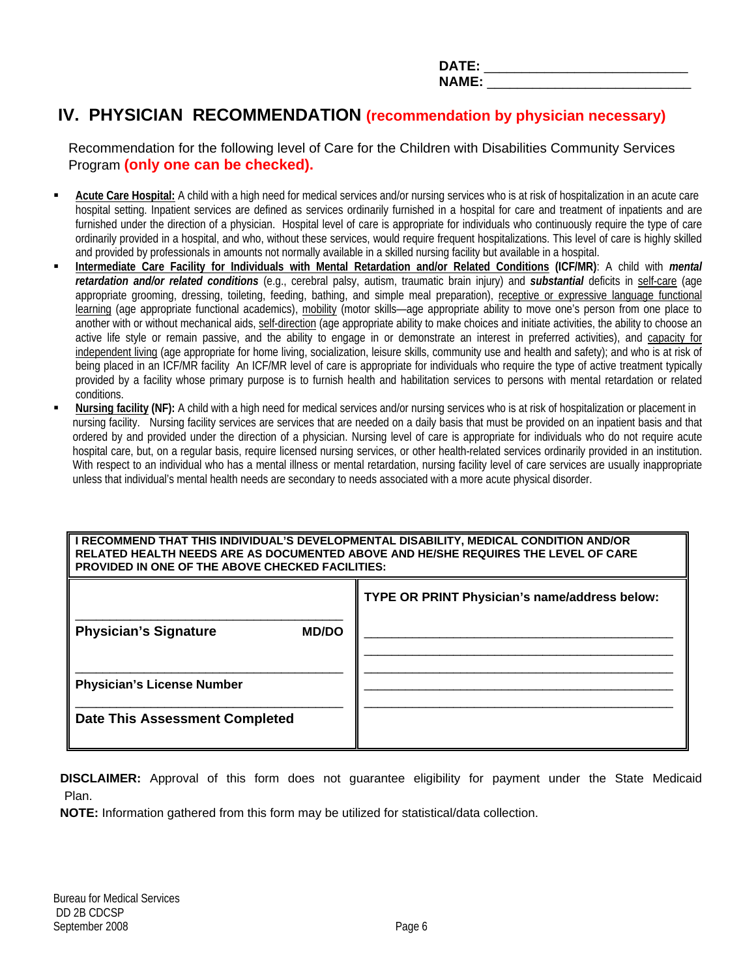|     | ______________________ |
|-----|------------------------|
|     | ______                 |
| --- | __                     |

### **IV. PHYSICIAN RECOMMENDATION (recommendation by physician necessary)**

 Recommendation for the following level of Care for the Children with Disabilities Community Services Program **(only one can be checked).**

- **Acute Care Hospital:** A child with a high need for medical services and/or nursing services who is at risk of hospitalization in an acute care hospital setting. Inpatient services are defined as services ordinarily furnished in a hospital for care and treatment of inpatients and are furnished under the direction of a physician. Hospital level of care is appropriate for individuals who continuously require the type of care ordinarily provided in a hospital, and who, without these services, would require frequent hospitalizations. This level of care is highly skilled and provided by professionals in amounts not normally available in a skilled nursing facility but available in a hospital.
- **Intermediate Care Facility for Individuals with Mental Retardation and/or Related Conditions (ICF/MR)**: A child with *mental retardation and/or related conditions* (e.g., cerebral palsy, autism, traumatic brain injury) and *substantial* deficits in self-care (age appropriate grooming, dressing, toileting, feeding, bathing, and simple meal preparation), receptive or expressive language functional learning (age appropriate functional academics), mobility (motor skills—age appropriate ability to move one's person from one place to another with or without mechanical aids, self-direction (age appropriate ability to make choices and initiate activities, the ability to choose an active life style or remain passive, and the ability to engage in or demonstrate an interest in preferred activities), and capacity for independent living (age appropriate for home living, socialization, leisure skills, community use and health and safety); and who is at risk of being placed in an ICF/MR facility An ICF/MR level of care is appropriate for individuals who require the type of active treatment typically provided by a facility whose primary purpose is to furnish health and habilitation services to persons with mental retardation or related conditions.
- **Nursing facility (NF):** A child with a high need for medical services and/or nursing services who is at risk of hospitalization or placement in nursing facility. Nursing facility services are services that are needed on a daily basis that must be provided on an inpatient basis and that ordered by and provided under the direction of a physician. Nursing level of care is appropriate for individuals who do not require acute hospital care, but, on a regular basis, require licensed nursing services, or other health-related services ordinarily provided in an institution. With respect to an individual who has a mental illness or mental retardation, nursing facility level of care services are usually inappropriate unless that individual's mental health needs are secondary to needs associated with a more acute physical disorder.

**I RECOMMEND THAT THIS INDIVIDUAL'S DEVELOPMENTAL DISABILITY, MEDICAL CONDITION AND/OR RELATED HEALTH NEEDS ARE AS DOCUMENTED ABOVE AND HE/SHE REQUIRES THE LEVEL OF CARE PROVIDED IN ONE OF THE ABOVE CHECKED FACILITIES:** 

|                                       |              | TYPE OR PRINT Physician's name/address below: |
|---------------------------------------|--------------|-----------------------------------------------|
| <b>Physician's Signature</b>          | <b>MD/DO</b> |                                               |
| <b>Physician's License Number</b>     |              |                                               |
| <b>Date This Assessment Completed</b> |              |                                               |

 **DISCLAIMER:** Approval of this form does not guarantee eligibility for payment under the State Medicaid Plan.

 **NOTE:** Information gathered from this form may be utilized for statistical/data collection.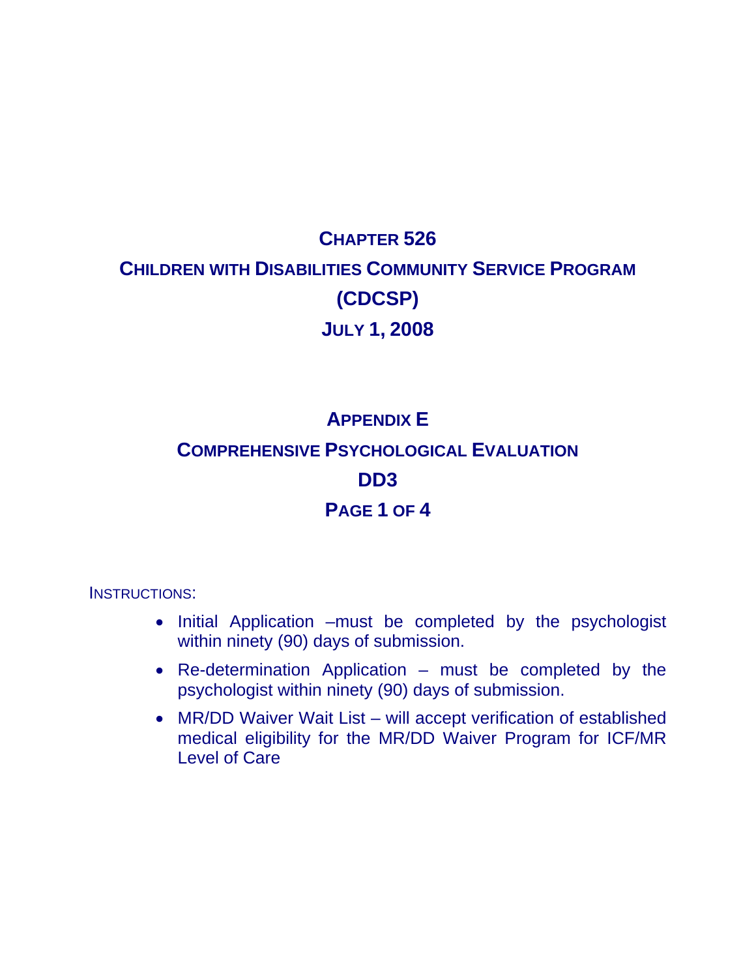# **CHAPTER 526 CHILDREN WITH DISABILITIES COMMUNITY SERVICE PROGRAM (CDCSP) JULY 1, 2008**

## **APPENDIX E COMPREHENSIVE PSYCHOLOGICAL EVALUATION DD3 PAGE 1 OF 4**

INSTRUCTIONS:

- Initial Application –must be completed by the psychologist within ninety (90) days of submission.
- Re-determination Application must be completed by the psychologist within ninety (90) days of submission.
- MR/DD Waiver Wait List will accept verification of established medical eligibility for the MR/DD Waiver Program for ICF/MR Level of Care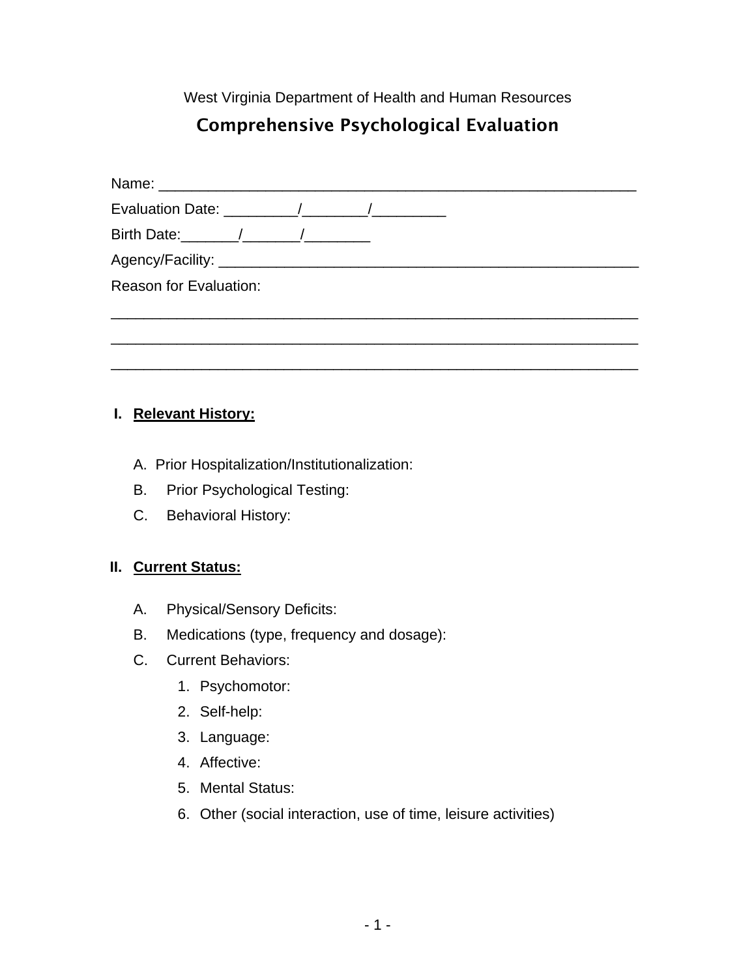West Virginia Department of Health and Human Resources

### Comprehensive Psychological Evaluation

| Birth Date: 1 1               |  |  |  |
|-------------------------------|--|--|--|
|                               |  |  |  |
| <b>Reason for Evaluation:</b> |  |  |  |
|                               |  |  |  |
|                               |  |  |  |
|                               |  |  |  |

#### **I. Relevant History:**

- A. Prior Hospitalization/Institutionalization:
- B. Prior Psychological Testing:
- C. Behavioral History:

#### **II. Current Status:**

- A. Physical/Sensory Deficits:
- B. Medications (type, frequency and dosage):
- C. Current Behaviors:
	- 1. Psychomotor:
	- 2. Self-help:
	- 3. Language:
	- 4. Affective:
	- 5. Mental Status:
	- 6. Other (social interaction, use of time, leisure activities)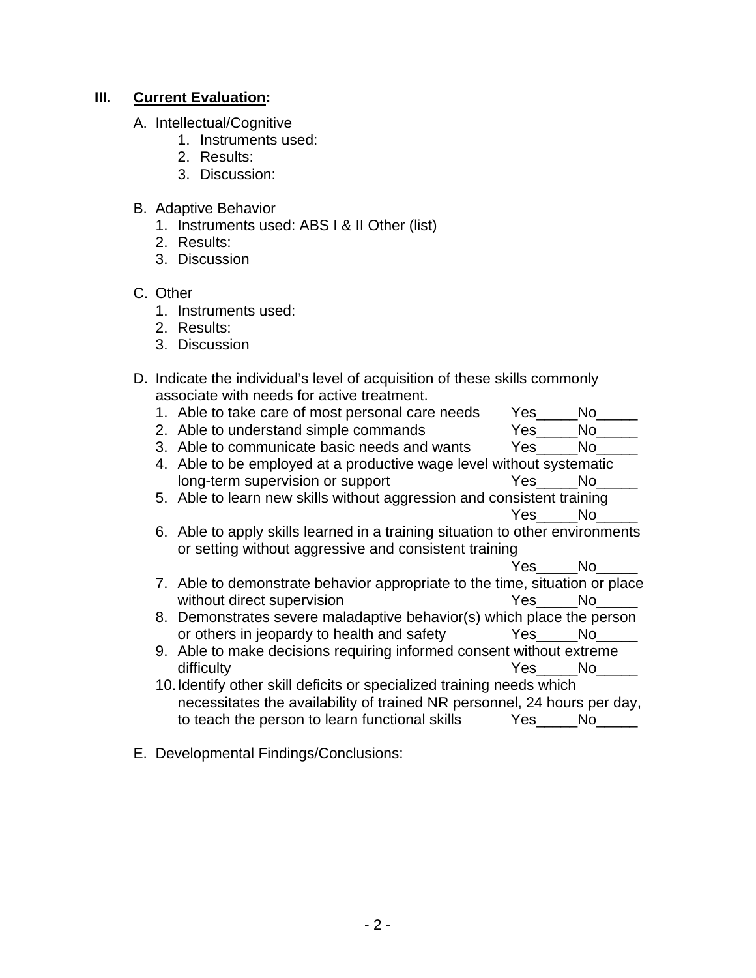#### **III.** Current Evaluation:

- A. Intellectual/Cognitive
	- 1. Instruments used:
	- 2. Results:
	- 3. Discussion:
- B. Adaptive Behavior
	- 1. Instruments used: ABS I & II Other (list)
	- 2. Results:
	- 3. Discussion

#### C. Other

- 1. Instruments used:
- 2. Results:
- 3. Discussion

| D. Indicate the individual's level of acquisition of these skills commonly |
|----------------------------------------------------------------------------|
| associate with needs for active treatment.                                 |

| 1. Able to take care of most personal care needs                              | Yes No |        |
|-------------------------------------------------------------------------------|--------|--------|
| 2. Able to understand simple commands                                         | Yes No |        |
| 3. Able to communicate basic needs and wants                                  | Yes    | No     |
| 4. Able to be employed at a productive wage level without systematic          |        |        |
| long-term supervision or support                                              | Yes No |        |
| 5. Able to learn new skills without aggression and consistent training        |        |        |
|                                                                               |        | Yes No |
| 6. Able to apply skills learned in a training situation to other environments |        |        |
| or setting without aggressive and consistent training                         |        |        |
|                                                                               | Yes No |        |
| 7. Able to demonstrate behavior appropriate to the time, situation or place   |        |        |
| without direct supervision                                                    |        | Yes No |
| 8. Demonstrates severe maladaptive behavior(s) which place the person         |        |        |
| or others in jeopardy to health and safety Yes No                             |        |        |
| 9. Able to make decisions requiring informed consent without extreme          |        |        |
| difficulty                                                                    |        | Yes No |
| 10. Identify other skill deficits or specialized training needs which         |        |        |
| necessitates the availability of trained NR personnel, 24 hours per day,      |        |        |
| to teach the person to learn functional skills Yes                            |        | No.    |
|                                                                               |        |        |

E. Developmental Findings/Conclusions: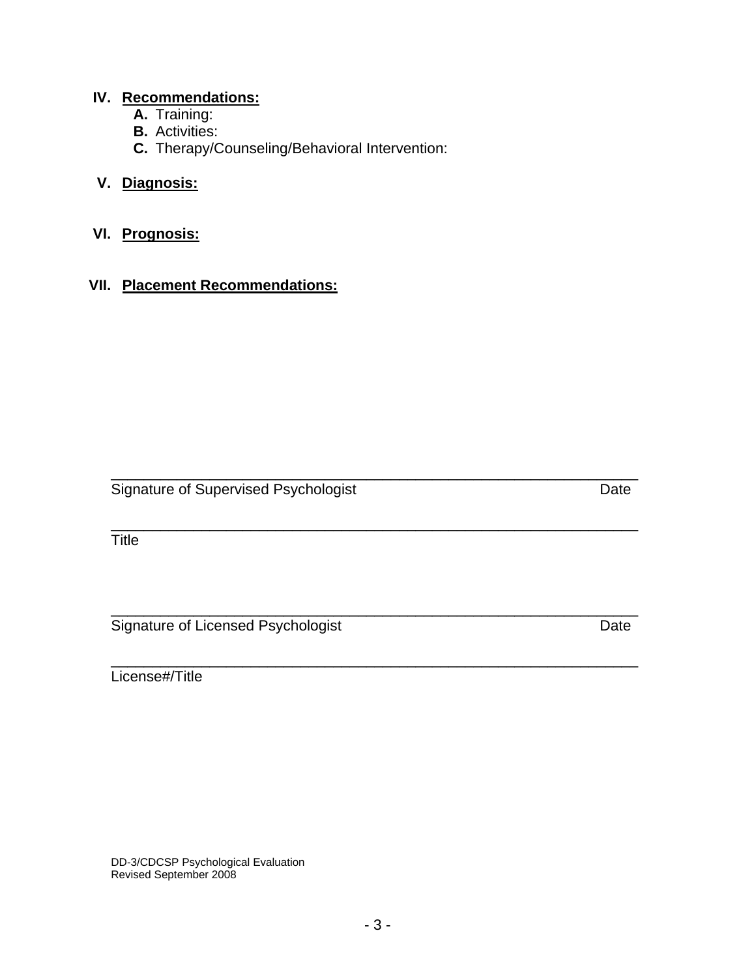### **IV. Recommendations:**

- **A.** Training:
- **B.** Activities:
- **C.** Therapy/Counseling/Behavioral Intervention:

### **V. Diagnosis:**

### **VI. Prognosis:**

#### **VII. Placement Recommendations:**

Signature of Supervised Psychologist **Date** Date Date

\_\_\_\_\_\_\_\_\_\_\_\_\_\_\_\_\_\_\_\_\_\_\_\_\_\_\_\_\_\_\_\_\_\_\_\_\_\_\_\_\_\_\_\_\_\_\_\_\_\_\_\_\_\_\_\_\_\_\_\_\_\_\_\_ **Title** 

\_\_\_\_\_\_\_\_\_\_\_\_\_\_\_\_\_\_\_\_\_\_\_\_\_\_\_\_\_\_\_\_\_\_\_\_\_\_\_\_\_\_\_\_\_\_\_\_\_\_\_\_\_\_\_\_\_\_\_\_\_\_\_\_ Signature of Licensed Psychologist Date

\_\_\_\_\_\_\_\_\_\_\_\_\_\_\_\_\_\_\_\_\_\_\_\_\_\_\_\_\_\_\_\_\_\_\_\_\_\_\_\_\_\_\_\_\_\_\_\_\_\_\_\_\_\_\_\_\_\_\_\_\_\_\_\_ License#/Title

Revised September 2008

\_\_\_\_\_\_\_\_\_\_\_\_\_\_\_\_\_\_\_\_\_\_\_\_\_\_\_\_\_\_\_\_\_\_\_\_\_\_\_\_\_\_\_\_\_\_\_\_\_\_\_\_\_\_\_\_\_\_\_\_\_\_\_\_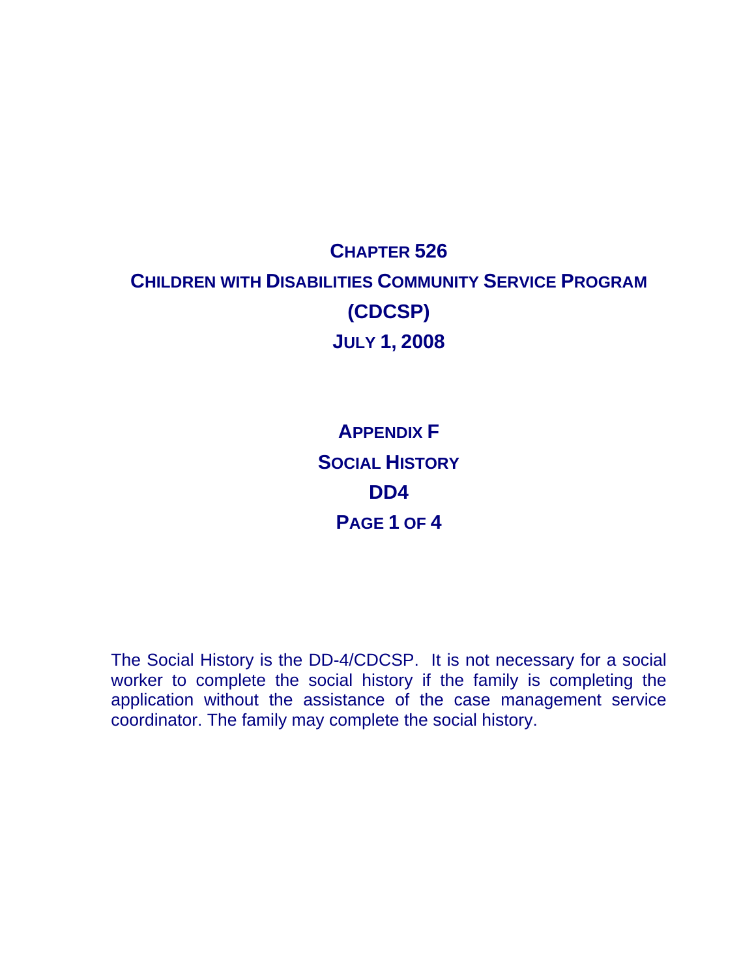## **CHAPTER 526 CHILDREN WITH DISABILITIES COMMUNITY SERVICE PROGRAM (CDCSP) JULY 1, 2008**

**APPENDIX F SOCIAL HISTORY DD4 PAGE 1 OF 4** 

The Social History is the DD-4/CDCSP. It is not necessary for a social worker to complete the social history if the family is completing the application without the assistance of the case management service coordinator. The family may complete the social history.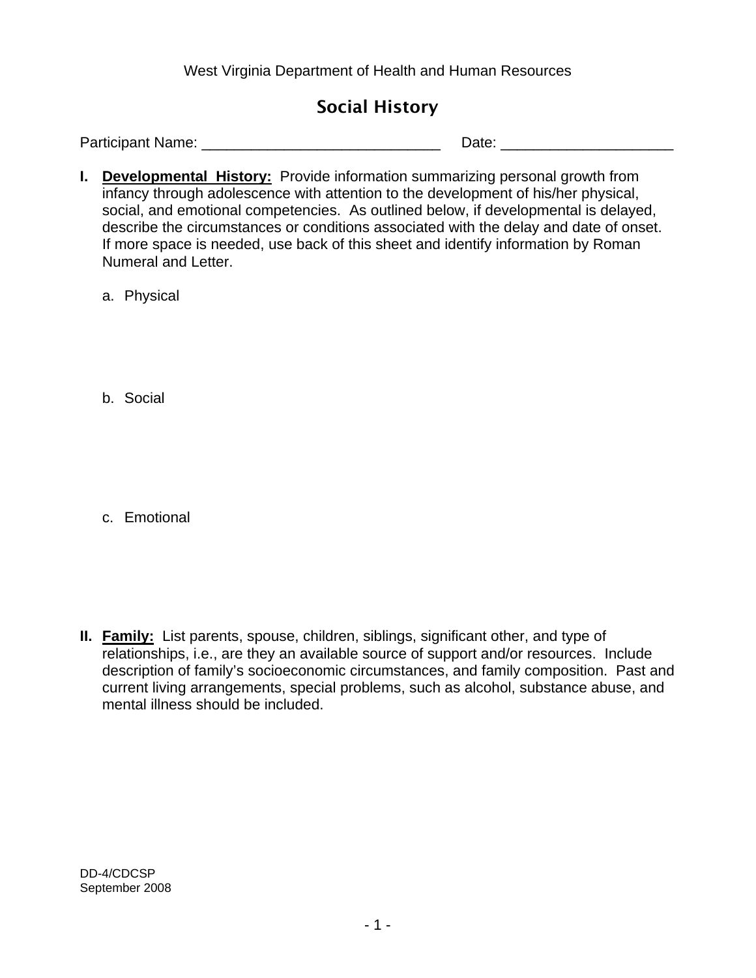West Virginia Department of Health and Human Resources

### Social History

Participant Name: \_\_\_\_\_\_\_\_\_\_\_\_\_\_\_\_\_\_\_\_\_\_\_\_\_\_\_\_\_ Date: \_\_\_\_\_\_\_\_\_\_\_\_\_\_\_\_\_\_\_\_\_

**I.** Developmental History: Provide information summarizing personal growth from infancy through adolescence with attention to the development of his/her physical, social, and emotional competencies. As outlined below, if developmental is delayed, describe the circumstances or conditions associated with the delay and date of onset. If more space is needed, use back of this sheet and identify information by Roman Numeral and Letter.

a. Physical

b. Social

c. Emotional

**II. Family:** List parents, spouse, children, siblings, significant other, and type of relationships, i.e., are they an available source of support and/or resources. Include description of family's socioeconomic circumstances, and family composition. Past and current living arrangements, special problems, such as alcohol, substance abuse, and mental illness should be included.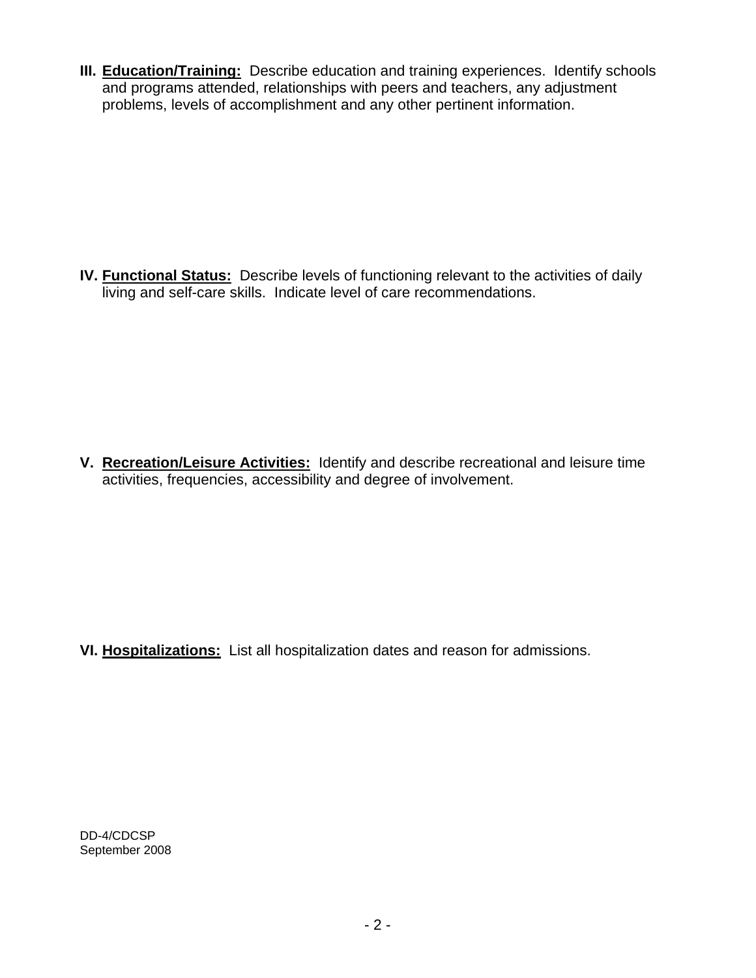**III. Education/Training:** Describe education and training experiences. Identify schools and programs attended, relationships with peers and teachers, any adjustment problems, levels of accomplishment and any other pertinent information.

**IV. Functional Status:** Describe levels of functioning relevant to the activities of daily living and self-care skills. Indicate level of care recommendations.

**V. Recreation/Leisure Activities:** Identify and describe recreational and leisure time activities, frequencies, accessibility and degree of involvement.

**VI. Hospitalizations:** List all hospitalization dates and reason for admissions.

DD-4/CDCSP September 2008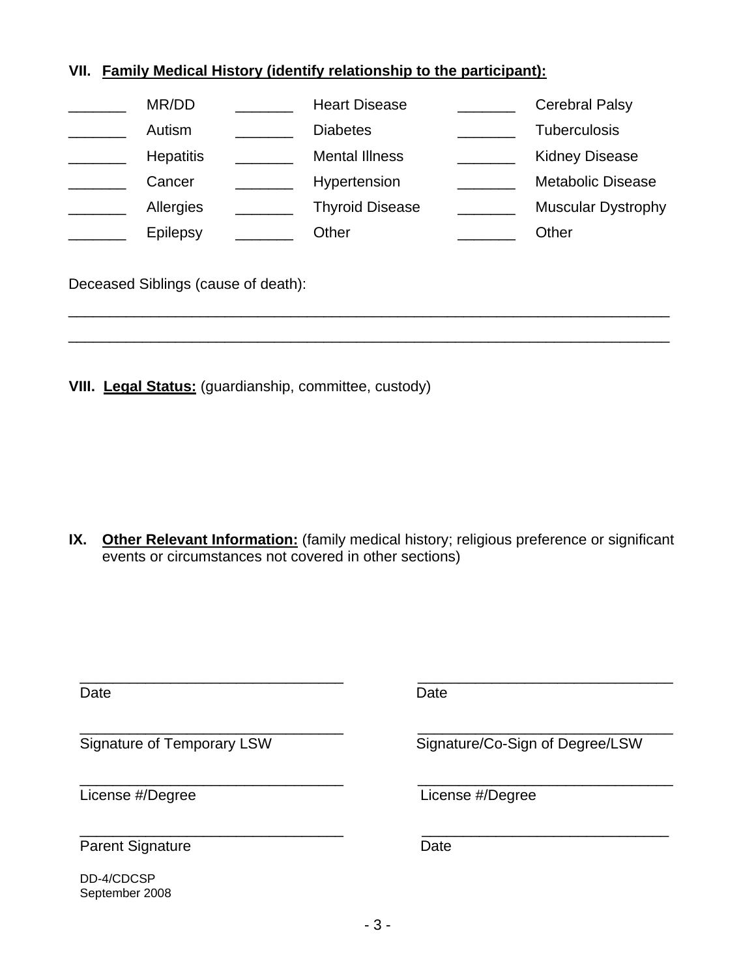#### **VII. Family Medical History (identify relationship to the participant):**

| MR/DD            | <b>Heart Disease</b>   | <b>Cerebral Palsy</b>     |
|------------------|------------------------|---------------------------|
| Autism           | <b>Diabetes</b>        | <b>Tuberculosis</b>       |
| <b>Hepatitis</b> | <b>Mental Illness</b>  | <b>Kidney Disease</b>     |
| Cancer           | Hypertension           | <b>Metabolic Disease</b>  |
| Allergies        | <b>Thyroid Disease</b> | <b>Muscular Dystrophy</b> |
| Epilepsy         | Other                  | Other                     |
|                  |                        |                           |

\_\_\_\_\_\_\_\_\_\_\_\_\_\_\_\_\_\_\_\_\_\_\_\_\_\_\_\_\_\_\_\_\_\_\_\_\_\_\_\_\_\_\_\_\_\_\_\_\_\_\_\_\_\_\_\_\_\_\_\_\_\_\_\_\_\_\_\_\_\_\_\_\_

\_\_\_\_\_\_\_\_\_\_\_\_\_\_\_\_\_\_\_\_\_\_\_\_\_\_\_\_\_\_\_\_\_\_\_\_\_\_\_\_\_\_\_\_\_\_\_\_\_\_\_\_\_\_\_\_\_\_\_\_\_\_\_\_\_\_\_\_\_\_\_\_\_

Deceased Siblings (cause of death):

**VIII. Legal Status:** (guardianship, committee, custody)

**IX.** Other Relevant Information: (family medical history; religious preference or significant events or circumstances not covered in other sections)

| Date                         | Date                            |
|------------------------------|---------------------------------|
| Signature of Temporary LSW   | Signature/Co-Sign of Degree/LSW |
| License #/Degree             | License #/Degree                |
| <b>Parent Signature</b>      | Date                            |
| DD-4/CDCSP<br>September 2008 |                                 |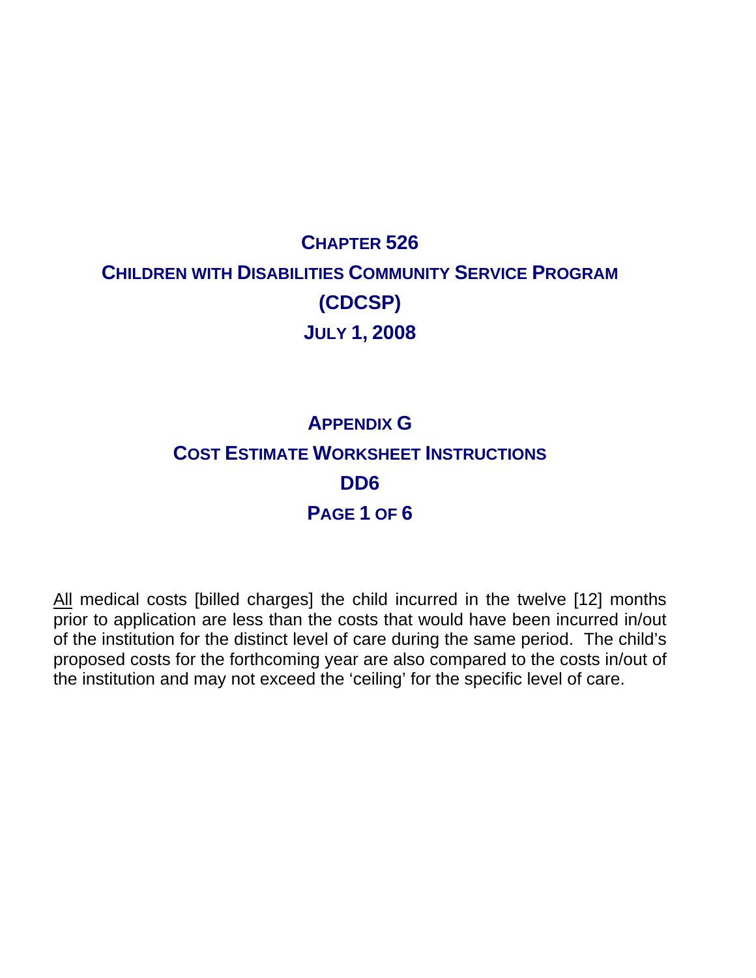# **CHAPTER 526 CHILDREN WITH DISABILITIES COMMUNITY SERVICE PROGRAM (CDCSP) JULY 1, 2008**

## **APPENDIX G COST ESTIMATE WORKSHEET INSTRUCTIONS DD6 PAGE 1 OF 6**

All medical costs [billed charges] the child incurred in the twelve [12] months prior to application are less than the costs that would have been incurred in/out of the institution for the distinct level of care during the same period. The child's proposed costs for the forthcoming year are also compared to the costs in/out of the institution and may not exceed the 'ceiling' for the specific level of care.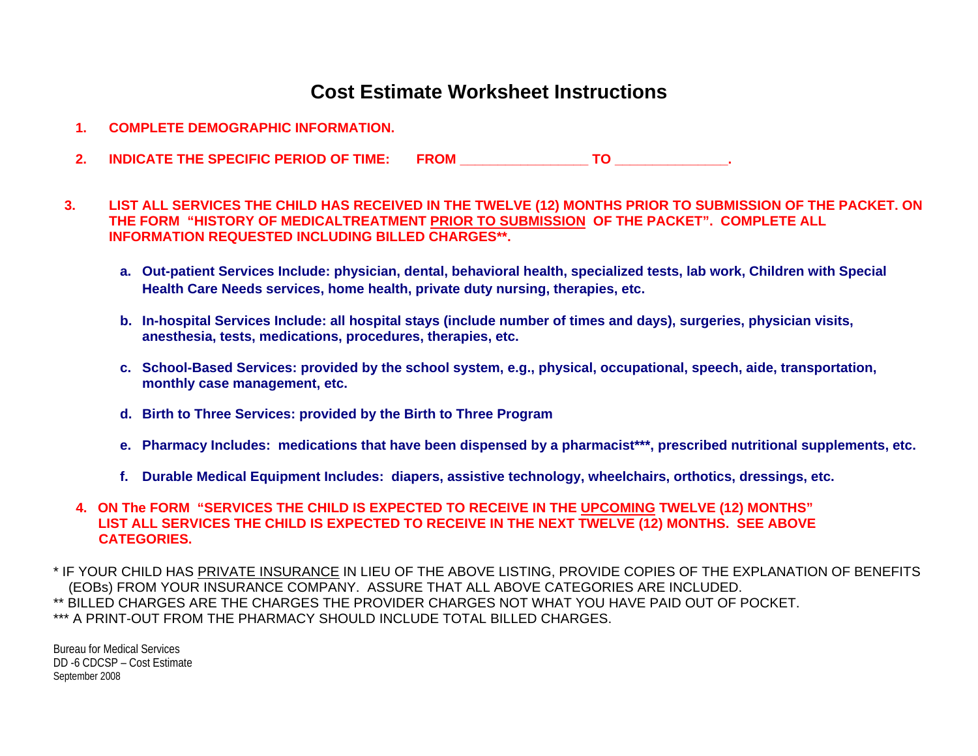### **Cost Estimate Worksheet Instructions**

- **1. COMPLETE DEMOGRAPHIC INFORMATION.**
- **2. INDICATE THE SPECIFIC PERIOD OF TIME: FROM \_\_\_\_\_\_\_\_\_\_\_\_\_\_\_\_\_ TO \_\_\_\_\_\_\_\_\_\_\_\_\_\_\_.**
- **3. LIST ALL SERVICES THE CHILD HAS RECEIVED IN THE TWELVE (12) MONTHS PRIOR TO SUBMISSION OF THE PACKET. ON THE FORM "HISTORY OF MEDICALTREATMENT PRIOR TO SUBMISSION OF THE PACKET". COMPLETE ALL INFORMATION REQUESTED INCLUDING BILLED CHARGES\*\*.** 
	- **a. Out-patient Services Include: physician, dental, behavioral health, specialized tests, lab work, Children with Special Health Care Needs services, home health, private duty nursing, therapies, etc.**
	- **b. In-hospital Services Include: all hospital stays (include number of times and days), surgeries, physician visits, anesthesia, tests, medications, procedures, therapies, etc.**
	- **c. School-Based Services: provided by the school system, e.g., physical, occupational, speech, aide, transportation, monthly case management, etc.**
	- **d. Birth to Three Services: provided by the Birth to Three Program**
	- **e. Pharmacy Includes: medications that have been dispensed by a pharmacist\*\*\*, prescribed nutritional supplements, etc.**
	- **f. Durable Medical Equipment Includes: diapers, assistive technology, wheelchairs, orthotics, dressings, etc.**

#### **4. ON The FORM "SERVICES THE CHILD IS EXPECTED TO RECEIVE IN THE UPCOMING TWELVE (12) MONTHS" LIST ALL SERVICES THE CHILD IS EXPECTED TO RECEIVE IN THE NEXT TWELVE (12) MONTHS. SEE ABOVE CATEGORIES.**

\* IF YOUR CHILD HAS PRIVATE INSURANCE IN LIEU OF THE ABOVE LISTING, PROVIDE COPIES OF THE EXPLANATION OF BENEFITS (EOBs) FROM YOUR INSURANCE COMPANY. ASSURE THAT ALL ABOVE CATEGORIES ARE INCLUDED. \*\* BILLED CHARGES ARE THE CHARGES THE PROVIDER CHARGES NOT WHAT YOU HAVE PAID OUT OF POCKET. \*\*\* A PRINT-OUT FROM THE PHARMACY SHOULD INCLUDE TOTAL BILLED CHARGES.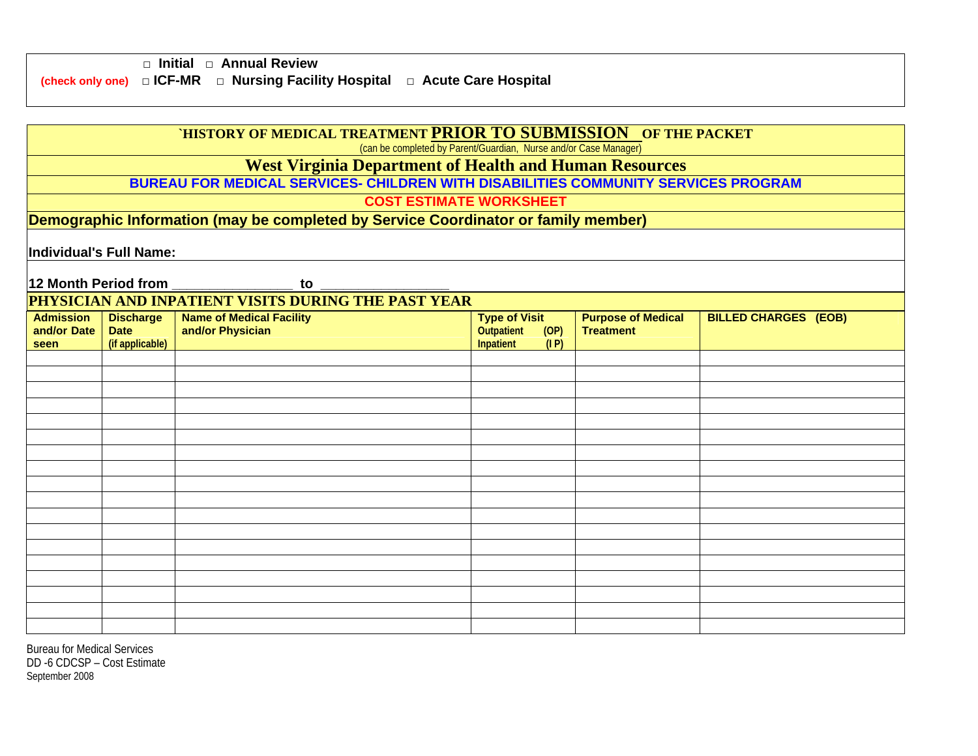|  | $\Box$ Initial $\Box$ Annual Review                                                        |  |
|--|--------------------------------------------------------------------------------------------|--|
|  | (check only one) $\Box$ ICF-MR $\Box$ Nursing Facility Hospital $\Box$ Acute Care Hospital |  |

| 'HISTORY OF MEDICAL TREATMENT PRIOR TO SUBMISSION OF THE PACKET<br>(can be completed by Parent/Guardian, Nurse and/or Case Manager) |                                                               |                                                                                    |                                                                         |                                               |                             |  |  |
|-------------------------------------------------------------------------------------------------------------------------------------|---------------------------------------------------------------|------------------------------------------------------------------------------------|-------------------------------------------------------------------------|-----------------------------------------------|-----------------------------|--|--|
|                                                                                                                                     | <b>West Virginia Department of Health and Human Resources</b> |                                                                                    |                                                                         |                                               |                             |  |  |
|                                                                                                                                     |                                                               | BUREAU FOR MEDICAL SERVICES- CHILDREN WITH DISABILITIES COMMUNITY SERVICES PROGRAM |                                                                         |                                               |                             |  |  |
|                                                                                                                                     |                                                               | <b>COST ESTIMATE WORKSHEET</b>                                                     |                                                                         |                                               |                             |  |  |
|                                                                                                                                     |                                                               | Demographic Information (may be completed by Service Coordinator or family member) |                                                                         |                                               |                             |  |  |
| Individual's Full Name:                                                                                                             |                                                               |                                                                                    |                                                                         |                                               |                             |  |  |
| 12 Month Period from                                                                                                                |                                                               | to                                                                                 |                                                                         |                                               |                             |  |  |
|                                                                                                                                     |                                                               | PHYSICIAN AND INPATIENT VISITS DURING THE PAST YEAR                                |                                                                         |                                               |                             |  |  |
| <b>Admission</b><br>and/or Date<br>seen                                                                                             | <b>Discharge</b><br><b>Date</b><br>(if applicable)            | <b>Name of Medical Facility</b><br>and/or Physician                                | <b>Type of Visit</b><br>(OP)<br><b>Outpatient</b><br>(I P)<br>Inpatient | <b>Purpose of Medical</b><br><b>Treatment</b> | <b>BILLED CHARGES (EOB)</b> |  |  |
|                                                                                                                                     |                                                               |                                                                                    |                                                                         |                                               |                             |  |  |
|                                                                                                                                     |                                                               |                                                                                    |                                                                         |                                               |                             |  |  |
|                                                                                                                                     |                                                               |                                                                                    |                                                                         |                                               |                             |  |  |
|                                                                                                                                     |                                                               |                                                                                    |                                                                         |                                               |                             |  |  |
|                                                                                                                                     |                                                               |                                                                                    |                                                                         |                                               |                             |  |  |
|                                                                                                                                     |                                                               |                                                                                    |                                                                         |                                               |                             |  |  |
|                                                                                                                                     |                                                               |                                                                                    |                                                                         |                                               |                             |  |  |
|                                                                                                                                     |                                                               |                                                                                    |                                                                         |                                               |                             |  |  |
|                                                                                                                                     |                                                               |                                                                                    |                                                                         |                                               |                             |  |  |
|                                                                                                                                     |                                                               |                                                                                    |                                                                         |                                               |                             |  |  |
|                                                                                                                                     |                                                               |                                                                                    |                                                                         |                                               |                             |  |  |
|                                                                                                                                     |                                                               |                                                                                    |                                                                         |                                               |                             |  |  |
|                                                                                                                                     |                                                               |                                                                                    |                                                                         |                                               |                             |  |  |
|                                                                                                                                     |                                                               |                                                                                    |                                                                         |                                               |                             |  |  |
|                                                                                                                                     |                                                               |                                                                                    |                                                                         |                                               |                             |  |  |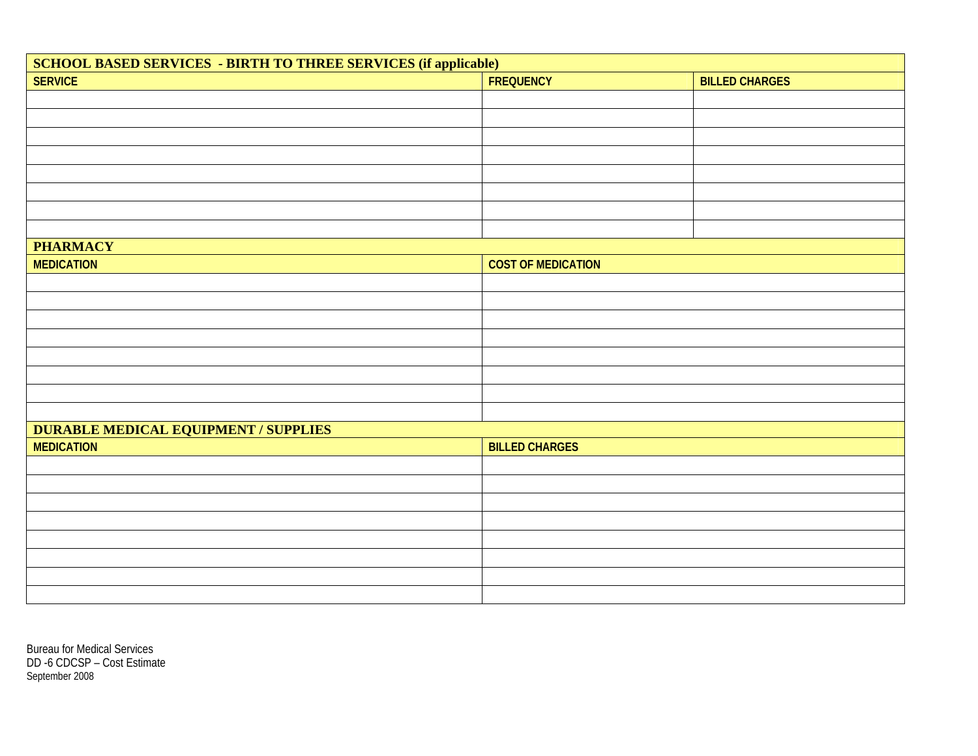| <b>SCHOOL BASED SERVICES - BIRTH TO THREE SERVICES (if applicable)</b> |                           |                       |  |  |  |
|------------------------------------------------------------------------|---------------------------|-----------------------|--|--|--|
| <b>SERVICE</b>                                                         | <b>FREQUENCY</b>          | <b>BILLED CHARGES</b> |  |  |  |
|                                                                        |                           |                       |  |  |  |
|                                                                        |                           |                       |  |  |  |
|                                                                        |                           |                       |  |  |  |
|                                                                        |                           |                       |  |  |  |
|                                                                        |                           |                       |  |  |  |
|                                                                        |                           |                       |  |  |  |
|                                                                        |                           |                       |  |  |  |
|                                                                        |                           |                       |  |  |  |
| <b>PHARMACY</b>                                                        |                           |                       |  |  |  |
| <b>MEDICATION</b>                                                      | <b>COST OF MEDICATION</b> |                       |  |  |  |
|                                                                        |                           |                       |  |  |  |
|                                                                        |                           |                       |  |  |  |
|                                                                        |                           |                       |  |  |  |
|                                                                        |                           |                       |  |  |  |
|                                                                        |                           |                       |  |  |  |
|                                                                        |                           |                       |  |  |  |
|                                                                        |                           |                       |  |  |  |
|                                                                        |                           |                       |  |  |  |
| <b>DURABLE MEDICAL EQUIPMENT / SUPPLIES</b>                            |                           |                       |  |  |  |
| <b>MEDICATION</b>                                                      | <b>BILLED CHARGES</b>     |                       |  |  |  |
|                                                                        |                           |                       |  |  |  |
|                                                                        |                           |                       |  |  |  |
|                                                                        |                           |                       |  |  |  |
|                                                                        |                           |                       |  |  |  |
|                                                                        |                           |                       |  |  |  |
|                                                                        |                           |                       |  |  |  |
|                                                                        |                           |                       |  |  |  |
|                                                                        |                           |                       |  |  |  |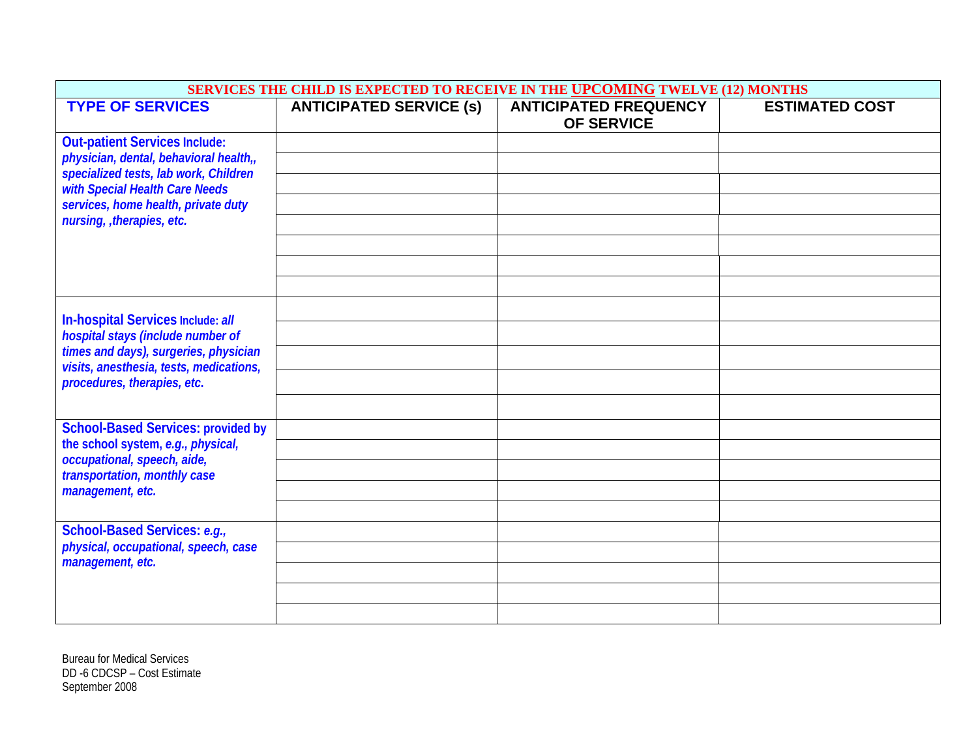| SERVICES THE CHILD IS EXPECTED TO RECEIVE IN THE UPCOMING TWELVE (12) MONTHS     |                                |                                                   |                       |  |
|----------------------------------------------------------------------------------|--------------------------------|---------------------------------------------------|-----------------------|--|
| <b>TYPE OF SERVICES</b>                                                          | <b>ANTICIPATED SERVICE (s)</b> | <b>ANTICIPATED FREQUENCY</b><br><b>OF SERVICE</b> | <b>ESTIMATED COST</b> |  |
| <b>Out-patient Services Include:</b>                                             |                                |                                                   |                       |  |
| physician, dental, behavioral health,,<br>specialized tests, lab work, Children  |                                |                                                   |                       |  |
| with Special Health Care Needs                                                   |                                |                                                   |                       |  |
| services, home health, private duty<br>nursing, therapies, etc.                  |                                |                                                   |                       |  |
|                                                                                  |                                |                                                   |                       |  |
|                                                                                  |                                |                                                   |                       |  |
|                                                                                  |                                |                                                   |                       |  |
| In-hospital Services Include: all                                                |                                |                                                   |                       |  |
| hospital stays (include number of                                                |                                |                                                   |                       |  |
| times and days), surgeries, physician<br>visits, anesthesia, tests, medications, |                                |                                                   |                       |  |
| procedures, therapies, etc.                                                      |                                |                                                   |                       |  |
|                                                                                  |                                |                                                   |                       |  |
| <b>School-Based Services: provided by</b>                                        |                                |                                                   |                       |  |
| the school system, e.g., physical,<br>occupational, speech, aide,                |                                |                                                   |                       |  |
| transportation, monthly case                                                     |                                |                                                   |                       |  |
| management, etc.                                                                 |                                |                                                   |                       |  |
|                                                                                  |                                |                                                   |                       |  |
| School-Based Services: e.g.,<br>physical, occupational, speech, case             |                                |                                                   |                       |  |
| management, etc.                                                                 |                                |                                                   |                       |  |
|                                                                                  |                                |                                                   |                       |  |
|                                                                                  |                                |                                                   |                       |  |
|                                                                                  |                                |                                                   |                       |  |